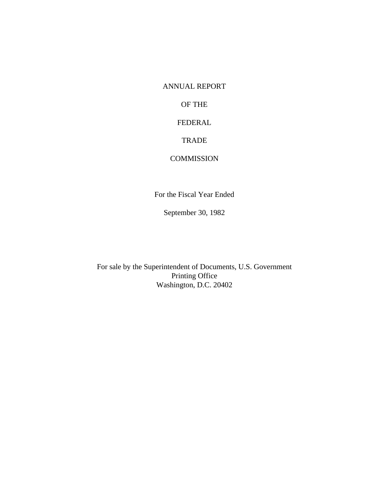ANNUAL REPORT

OF THE

FEDERAL

**TRADE** 

# **COMMISSION**

For the Fiscal Year Ended

September 30, 1982

For sale by the Superintendent of Documents, U.S. Government Printing Office Washington, D.C. 20402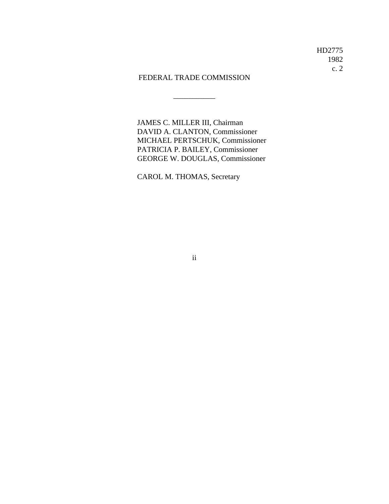\_\_\_\_\_\_\_\_\_\_\_

JAMES C. MILLER III, Chairman DAVID A. CLANTON, Commissioner MICHAEL PERTSCHUK, Commissioner PATRICIA P. BAILEY, Commissioner GEORGE W. DOUGLAS, Commissioner

CAROL M. THOMAS, Secretary

ii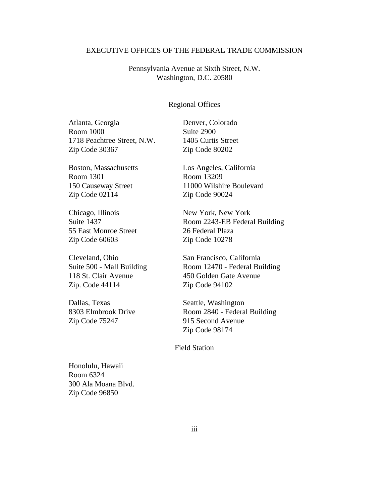# EXECUTIVE OFFICES OF THE FEDERAL TRADE COMMISSION

Pennsylvania Avenue at Sixth Street, N.W. Washington, D.C. 20580

#### Regional Offices

Atlanta, Georgia Denver, Colorado Room 1000 Suite 2900 1718 Peachtree Street, N.W. 1405 Curtis Street Zip Code 30367 Zip Code 80202

Boston, Massachusetts Los Angeles, California Room 1301 Room 13209 Zip Code 02114 Zip Code 90024

Chicago, Illinois New York, New York 55 East Monroe Street 26 Federal Plaza Zip Code 60603 Zip Code 10278

118 St. Clair Avenue 450 Golden Gate Avenue Zip. Code 44114 Zip Code 94102

Dallas, Texas Seattle, Washington Zip Code 75247 915 Second Avenue

150 Causeway Street 11000 Wilshire Boulevard

Suite 1437 Room 2243-EB Federal Building

Cleveland, Ohio San Francisco, California Suite 500 - Mall Building Room 12470 - Federal Building

8303 Elmbrook Drive Room 2840 - Federal Building Zip Code 98174

# Field Station

Honolulu, Hawaii Room 6324 300 Ala Moana Blvd. Zip Code 96850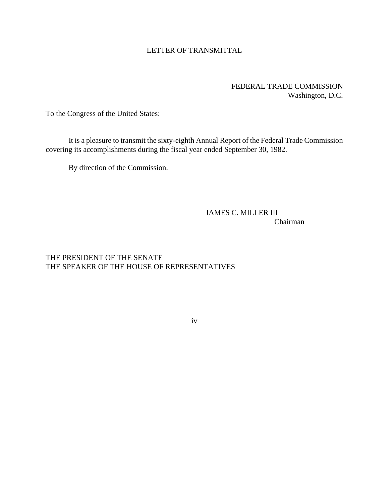# LETTER OF TRANSMITTAL

# FEDERAL TRADE COMMISSION Washington, D.C.

To the Congress of the United States:

It is a pleasure to transmit the sixty-eighth Annual Report of the Federal Trade Commission covering its accomplishments during the fiscal year ended September 30, 1982.

By direction of the Commission.

# JAMES C. MILLER III Chairman

# THE PRESIDENT OF THE SENATE THE SPEAKER OF THE HOUSE OF REPRESENTATIVES

#### iv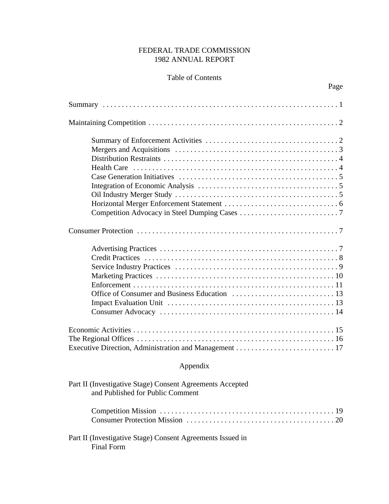# FEDERAL TRADE COMMISSION 1982 ANNUAL REPORT

# Table of Contents

Page

| Appendix                                                   |
|------------------------------------------------------------|
| Part II (Investigative Stage) Consent Agreements Accepted  |
| and Published for Public Comment                           |
|                                                            |
| Part II (Investigative Stage) Consent Agreements Issued in |

Final Form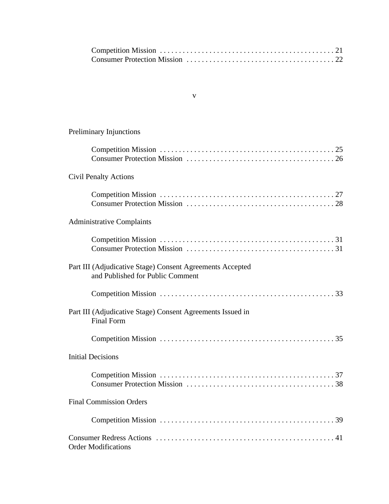#### v

# Preliminary Injunctions

| <b>Civil Penalty Actions</b>                                                                  |
|-----------------------------------------------------------------------------------------------|
|                                                                                               |
| <b>Administrative Complaints</b>                                                              |
|                                                                                               |
| Part III (Adjudicative Stage) Consent Agreements Accepted<br>and Published for Public Comment |
|                                                                                               |
| Part III (Adjudicative Stage) Consent Agreements Issued in<br><b>Final Form</b>               |
|                                                                                               |
| <b>Initial Decisions</b>                                                                      |
|                                                                                               |
| <b>Final Commission Orders</b>                                                                |
|                                                                                               |
| <b>Order Modifications</b>                                                                    |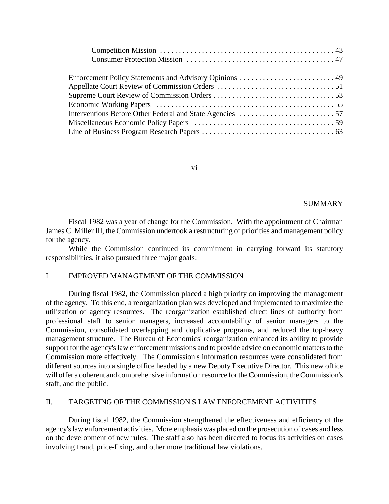| Enforcement Policy Statements and Advisory Opinions  49 |
|---------------------------------------------------------|
|                                                         |
|                                                         |
|                                                         |
|                                                         |
|                                                         |
|                                                         |

vi

# SUMMARY

Fiscal 1982 was a year of change for the Commission. With the appointment of Chairman James C. Miller III, the Commission undertook a restructuring of priorities and management policy for the agency.

While the Commission continued its commitment in carrying forward its statutory responsibilities, it also pursued three major goals:

# I. IMPROVED MANAGEMENT OF THE COMMISSION

During fiscal 1982, the Commission placed a high priority on improving the management of the agency. To this end, a reorganization plan was developed and implemented to maximize the utilization of agency resources. The reorganization established direct lines of authority from professional staff to senior managers, increased accountability of senior managers to the Commission, consolidated overlapping and duplicative programs, and reduced the top-heavy management structure. The Bureau of Economics' reorganization enhanced its ability to provide support for the agency's law enforcement missions and to provide advice on economic matters to the Commission more effectively. The Commission's information resources were consolidated from different sources into a single office headed by a new Deputy Executive Director. This new office will offer a coherent and comprehensive information resource for the Commission, the Commission's staff, and the public.

#### II. TARGETING OF THE COMMISSION'S LAW ENFORCEMENT ACTIVITIES

During fiscal 1982, the Commission strengthened the effectiveness and efficiency of the agency'slaw enforcement activities. More emphasis was placed on the prosecution of cases and less on the development of new rules. The staff also has been directed to focus its activities on cases involving fraud, price-fixing, and other more traditional law violations.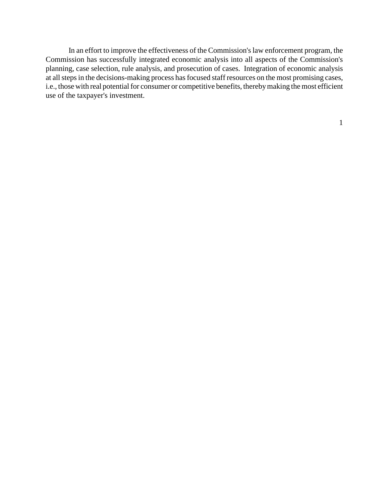In an effort to improve the effectiveness of the Commission's law enforcement program, the Commission has successfully integrated economic analysis into all aspects of the Commission's planning, case selection, rule analysis, and prosecution of cases. Integration of economic analysis at all steps in the decisions-making process has focused staff resources on the most promising cases, i.e., those with real potential for consumer or competitive benefits, thereby making the most efficient use of the taxpayer's investment.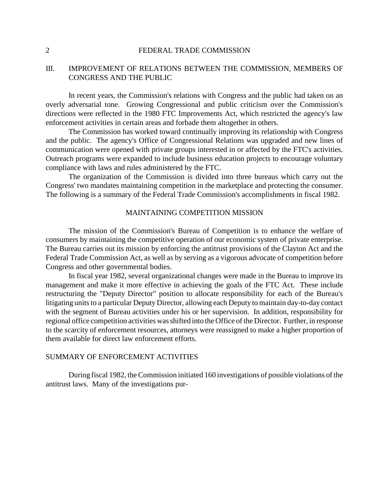# III. IMPROVEMENT OF RELATIONS BETWEEN THE COMMISSION, MEMBERS OF CONGRESS AND THE PUBLIC

In recent years, the Commission's relations with Congress and the public had taken on an overly adversarial tone. Growing Congressional and public criticism over the Commission's directions were reflected in the 1980 FTC Improvements Act, which restricted the agency's law enforcement activities in certain areas and forbade them altogether in others.

The Commission has worked toward continually improving its relationship with Congress and the public. The agency's Office of Congressional Relations was upgraded and new lines of communication were opened with private groups interested in or affected by the FTC's activities. Outreach programs were expanded to include business education projects to encourage voluntary compliance with laws and rules administered by the FTC.

The organization of the Commission is divided into three bureaus which carry out the Congress' two mandates maintaining competition in the marketplace and protecting the consumer. The following is a summary of the Federal Trade Commission's accomplishments in fiscal 1982.

#### MAINTAINING COMPETITION MISSION

The mission of the Commission's Bureau of Competition is to enhance the welfare of consumers by maintaining the competitive operation of our economic system of private enterprise. The Bureau carries out its mission by enforcing the antitrust provisions of the Clayton Act and the Federal Trade Commission Act, as well as by serving as a vigorous advocate of competition before Congress and other governmental bodies.

In fiscal year 1982, several organizational changes were made in the Bureau to improve its management and make it more effective in achieving the goals of the FTC Act. These include restructuring the "Deputy Director" position to allocate responsibility for each of the Bureau's litigating units to a particular Deputy Director, allowing each Deputy to maintain day-to-day contact with the segment of Bureau activities under his or her supervision. In addition, responsibility for regional office competition activities was shifted into the Office of the Director. Further, in response to the scarcity of enforcement resources, attorneys were reassigned to make a higher proportion of them available for direct law enforcement efforts.

# SUMMARY OF ENFORCEMENT ACTIVITIES

During fiscal 1982, the Commission initiated 160 investigations of possible violations of the antitrust laws. Many of the investigations pur-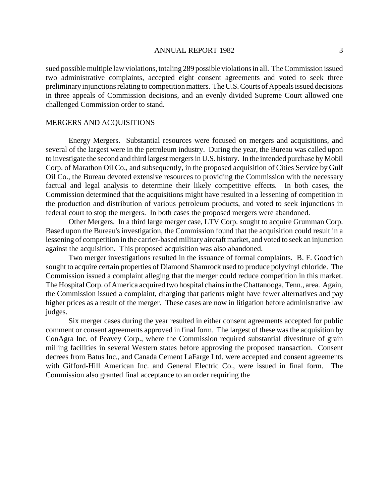sued possible multiple law violations, totaling 289 possible violations in all. The Commission issued two administrative complaints, accepted eight consent agreements and voted to seek three preliminary injunctions relating to competition matters. The U.S. Courts of Appeals issued decisions in three appeals of Commission decisions, and an evenly divided Supreme Court allowed one challenged Commission order to stand.

# MERGERS AND ACQUISITIONS

Energy Mergers. Substantial resources were focused on mergers and acquisitions, and several of the largest were in the petroleum industry. During the year, the Bureau was called upon to investigate the second and third largest mergersin U.S. history. In the intended purchase by Mobil Corp. of Marathon Oil Co., and subsequently, in the proposed acquisition of Cities Service by Gulf Oil Co., the Bureau devoted extensive resources to providing the Commission with the necessary factual and legal analysis to determine their likely competitive effects. In both cases, the Commission determined that the acquisitions might have resulted in a lessening of competition in the production and distribution of various petroleum products, and voted to seek injunctions in federal court to stop the mergers. In both cases the proposed mergers were abandoned.

Other Mergers. In a third large merger case, LTV Corp. sought to acquire Grumman Corp. Based upon the Bureau's investigation, the Commission found that the acquisition could result in a lessening of competition in the carrier-based military aircraft market, and voted to seek an injunction against the acquisition. This proposed acquisition was also abandoned.

Two merger investigations resulted in the issuance of formal complaints. B. F. Goodrich sought to acquire certain properties of Diamond Shamrock used to produce polyvinyl chloride. The Commission issued a complaint alleging that the merger could reduce competition in this market. The Hospital Corp. of America acquired two hospital chains in the Chattanooga, Tenn., area. Again, the Commission issued a complaint, charging that patients might have fewer alternatives and pay higher prices as a result of the merger. These cases are now in litigation before administrative law judges.

Six merger cases during the year resulted in either consent agreements accepted for public comment or consent agreements approved in final form. The largest of these was the acquisition by ConAgra Inc. of Peavey Corp., where the Commission required substantial divestiture of grain milling facilities in several Western states before approving the proposed transaction. Consent decrees from Batus Inc., and Canada Cement LaFarge Ltd. were accepted and consent agreements with Gifford-Hill American Inc. and General Electric Co., were issued in final form. The Commission also granted final acceptance to an order requiring the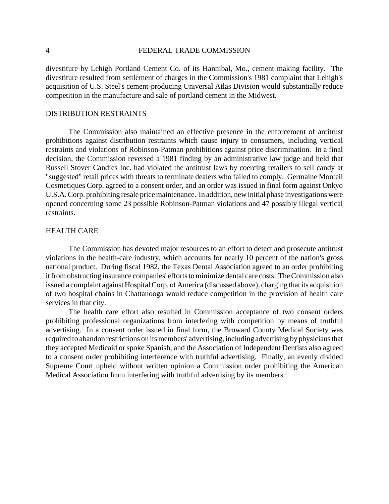divestiture by Lehigh Portland Cement Co. of its Hannibal, Mo., cement making facility. The divestiture resulted from settlement of charges in the Commission's 1981 complaint that Lehigh's acquisition of U.S. Steel's cement-producing Universal Atlas Division would substantially reduce competition in the manufacture and sale of portland cement in the Midwest.

# DISTRIBUTION RESTRAINTS

The Commission also maintained an effective presence in the enforcement of antitrust prohibitions against distribution restraints which cause injury to consumers, including vertical restraints and violations of Robinson-Patman prohibitions against price discrimination. In a final decision, the Commission reversed a 1981 finding by an administrative law judge and held that Russell Stover Candies Inc. had violated the antitrust laws by coercing retailers to sell candy at "suggested" retail prices with threats to terminate dealers who failed to comply. Germaine Monteil Cosmetiques Corp. agreed to a consent order, and an order was issued in final form against Onkyo U.S.A.Corp. prohibiting resale price maintenance. In addition, new initial phase investigations were opened concerning some 23 possible Robinson-Patman violations and 47 possibly illegal vertical restraints.

# HEALTH CARE

The Commission has devoted major resources to an effort to detect and prosecute antitrust violations in the health-care industry, which accounts for nearly 10 percent of the nation's gross national product. During fiscal 1982, the Texas Dental Association agreed to an order prohibiting itfromobstructing insurance companies' efforts to minimize dental care costs. The Commission also issued a complaint against Hospital Corp. of America (discussed above), charging that its acquisition of two hospital chains in Chattanooga would reduce competition in the provision of health care services in that city.

The health care effort also resulted in Commission acceptance of two consent orders prohibiting professional organizations from interfering with competition by means of truthful advertising. In a consent order issued in final form, the Broward County Medical Society was required to abandon restrictions on its members' advertising, including advertising by physicians that they accepted Medicaid or spoke Spanish, and the Association of Independent Dentists also agreed to a consent order prohibiting interference with truthful advertising. Finally, an evenly divided Supreme Court upheld without written opinion a Commission order prohibiting the American Medical Association from interfering with truthful advertising by its members.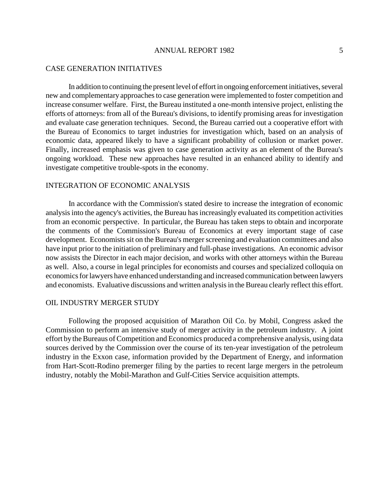#### ANNUAL REPORT 1982

## CASE GENERATION INITIATIVES

In addition to continuing the present level of effort in ongoing enforcement initiatives, several new and complementary approaches to case generation were implemented to foster competition and increase consumer welfare. First, the Bureau instituted a one-month intensive project, enlisting the efforts of attorneys: from all of the Bureau's divisions, to identify promising areas for investigation and evaluate case generation techniques. Second, the Bureau carried out a cooperative effort with the Bureau of Economics to target industries for investigation which, based on an analysis of economic data, appeared likely to have a significant probability of collusion or market power. Finally, increased emphasis was given to case generation activity as an element of the Bureau's ongoing workload. These new approaches have resulted in an enhanced ability to identify and investigate competitive trouble-spots in the economy.

# INTEGRATION OF ECONOMIC ANALYSIS

In accordance with the Commission's stated desire to increase the integration of economic analysis into the agency's activities, the Bureau has increasingly evaluated its competition activities from an economic perspective. In particular, the Bureau has taken steps to obtain and incorporate the comments of the Commission's Bureau of Economics at every important stage of case development. Economists sit on the Bureau's merger screening and evaluation committees and also have input prior to the initiation of preliminary and full-phase investigations. An economic advisor now assists the Director in each major decision, and works with other attorneys within the Bureau as well. Also, a course in legal principles for economists and courses and specialized colloquia on economics for lawyers have enhanced understanding and increased communication between lawyers and economists. Evaluative discussions and written analysis in the Bureau clearly reflect this effort.

#### OIL INDUSTRY MERGER STUDY

Following the proposed acquisition of Marathon Oil Co. by Mobil, Congress asked the Commission to perform an intensive study of merger activity in the petroleum industry. A joint effort by the Bureaus of Competition and Economics produced a comprehensive analysis, using data sources derived by the Commission over the course of its ten-year investigation of the petroleum industry in the Exxon case, information provided by the Department of Energy, and information from Hart-Scott-Rodino premerger filing by the parties to recent large mergers in the petroleum industry, notably the Mobil-Marathon and Gulf-Cities Service acquisition attempts.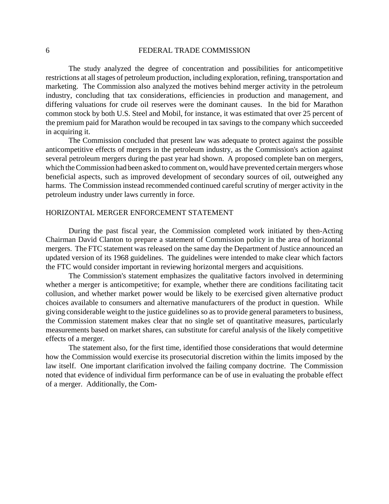The study analyzed the degree of concentration and possibilities for anticompetitive restrictions at all stages of petroleum production, including exploration, refining, transportation and marketing. The Commission also analyzed the motives behind merger activity in the petroleum industry, concluding that tax considerations, efficiencies in production and management, and differing valuations for crude oil reserves were the dominant causes. In the bid for Marathon common stock by both U.S. Steel and Mobil, for instance, it was estimated that over 25 percent of the premium paid for Marathon would be recouped in tax savings to the company which succeeded in acquiring it.

The Commission concluded that present law was adequate to protect against the possible anticompetitive effects of mergers in the petroleum industry, as the Commission's action against several petroleum mergers during the past year had shown. A proposed complete ban on mergers, which the Commission had been asked to comment on, would have prevented certain mergers whose beneficial aspects, such as improved development of secondary sources of oil, outweighed any harms. The Commission instead recommended continued careful scrutiny of merger activity in the petroleum industry under laws currently in force.

#### HORIZONTAL MERGER ENFORCEMENT STATEMENT

During the past fiscal year, the Commission completed work initiated by then-Acting Chairman David Clanton to prepare a statement of Commission policy in the area of horizontal mergers. The FTC statement was released on the same day the Department of Justice announced an updated version of its 1968 guidelines. The guidelines were intended to make clear which factors the FTC would consider important in reviewing horizontal mergers and acquisitions.

The Commission's statement emphasizes the qualitative factors involved in determining whether a merger is anticompetitive; for example, whether there are conditions facilitating tacit collusion, and whether market power would be likely to be exercised given alternative product choices available to consumers and alternative manufacturers of the product in question. While giving considerable weight to the justice guidelines so as to provide general parameters to business, the Commission statement makes clear that no single set of quantitative measures, particularly measurements based on market shares, can substitute for careful analysis of the likely competitive effects of a merger.

The statement also, for the first time, identified those considerations that would determine how the Commission would exercise its prosecutorial discretion within the limits imposed by the law itself. One important clarification involved the failing company doctrine. The Commission noted that evidence of individual firm performance can be of use in evaluating the probable effect of a merger. Additionally, the Com-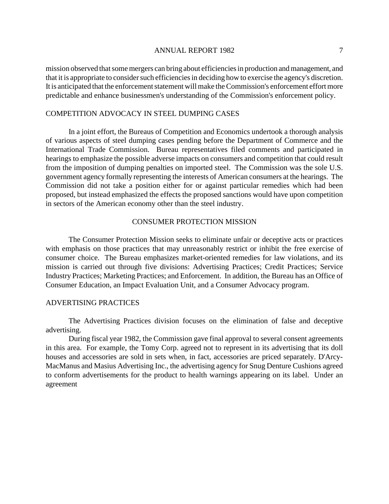mission observed that some mergers can bring about efficiencies in production and management, and that it is appropriate to consider such efficiencies in deciding how to exercise the agency's discretion. It is anticipated that the enforcement statement will make the Commission's enforcement effort more predictable and enhance businessmen's understanding of the Commission's enforcement policy.

# COMPETITION ADVOCACY IN STEEL DUMPING CASES

In a joint effort, the Bureaus of Competition and Economics undertook a thorough analysis of various aspects of steel dumping cases pending before the Department of Commerce and the International Trade Commission. Bureau representatives filed comments and participated in hearings to emphasize the possible adverse impacts on consumers and competition that could result from the imposition of dumping penalties on imported steel. The Commission was the sole U.S. government agency formally representing the interests of American consumers at the hearings. The Commission did not take a position either for or against particular remedies which had been proposed, but instead emphasized the effects the proposed sanctions would have upon competition in sectors of the American economy other than the steel industry.

# CONSUMER PROTECTION MISSION

The Consumer Protection Mission seeks to eliminate unfair or deceptive acts or practices with emphasis on those practices that may unreasonably restrict or inhibit the free exercise of consumer choice. The Bureau emphasizes market-oriented remedies for law violations, and its mission is carried out through five divisions: Advertising Practices; Credit Practices; Service Industry Practices; Marketing Practices; and Enforcement. In addition, the Bureau has an Office of Consumer Education, an Impact Evaluation Unit, and a Consumer Advocacy program.

#### ADVERTISING PRACTICES

The Advertising Practices division focuses on the elimination of false and deceptive advertising.

During fiscal year 1982, the Commission gave final approval to several consent agreements in this area. For example, the Tomy Corp. agreed not to represent in its advertising that its doll houses and accessories are sold in sets when, in fact, accessories are priced separately. D'Arcy-MacManus and Masius Advertising Inc., the advertising agency for Snug Denture Cushions agreed to conform advertisements for the product to health warnings appearing on its label. Under an agreement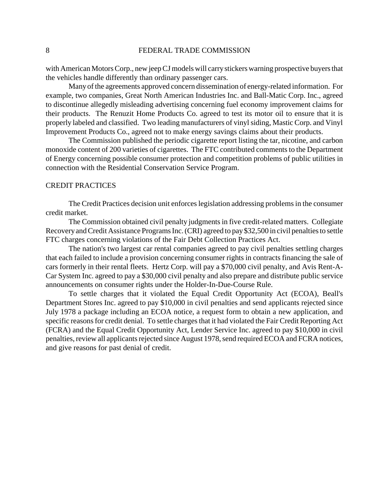with American Motors Corp., new jeep CJ models will carry stickers warning prospective buyers that the vehicles handle differently than ordinary passenger cars.

Many of the agreements approved concern dissemination of energy-related information. For example, two companies, Great North American Industries Inc. and Ball-Matic Corp. Inc., agreed to discontinue allegedly misleading advertising concerning fuel economy improvement claims for their products. The Renuzit Home Products Co. agreed to test its motor oil to ensure that it is properly labeled and classified. Two leading manufacturers of vinyl siding, Mastic Corp. and Vinyl Improvement Products Co., agreed not to make energy savings claims about their products.

The Commission published the periodic cigarette report listing the tar, nicotine, and carbon monoxide content of 200 varieties of cigarettes. The FTC contributed comments to the Department of Energy concerning possible consumer protection and competition problems of public utilities in connection with the Residential Conservation Service Program.

# CREDIT PRACTICES

The Credit Practices decision unit enforceslegislation addressing problemsin the consumer credit market.

The Commission obtained civil penalty judgments in five credit-related matters. Collegiate Recovery and Credit Assistance Programs Inc. (CRI) agreed to pay \$32,500 in civil penalties to settle FTC charges concerning violations of the Fair Debt Collection Practices Act.

The nation's two largest car rental companies agreed to pay civil penalties settling charges that each failed to include a provision concerning consumer rights in contracts financing the sale of cars formerly in their rental fleets. Hertz Corp. will pay a \$70,000 civil penalty, and Avis Rent-A-Car System Inc. agreed to pay a \$30,000 civil penalty and also prepare and distribute public service announcements on consumer rights under the Holder-In-Due-Course Rule.

To settle charges that it violated the Equal Credit Opportunity Act (ECOA), Beall's Department Stores Inc. agreed to pay \$10,000 in civil penalties and send applicants rejected since July 1978 a package including an ECOA notice, a request form to obtain a new application, and specific reasons for credit denial. To settle charges that it had violated the Fair Credit Reporting Act (FCRA) and the Equal Credit Opportunity Act, Lender Service Inc. agreed to pay \$10,000 in civil penalties, review all applicants rejected since August 1978, send required ECOA and FCRA notices, and give reasons for past denial of credit.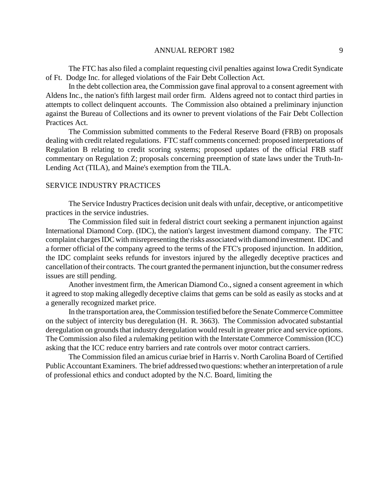The FTC has also filed a complaint requesting civil penalties against Iowa Credit Syndicate of Ft. Dodge Inc. for alleged violations of the Fair Debt Collection Act.

In the debt collection area, the Commission gave final approval to a consent agreement with Aldens Inc., the nation's fifth largest mail order firm. Aldens agreed not to contact third parties in attempts to collect delinquent accounts. The Commission also obtained a preliminary injunction against the Bureau of Collections and its owner to prevent violations of the Fair Debt Collection Practices Act.

The Commission submitted comments to the Federal Reserve Board (FRB) on proposals dealing with credit related regulations. FTC staff comments concerned: proposed interpretations of Regulation B relating to credit scoring systems; proposed updates of the official FRB staff commentary on Regulation Z; proposals concerning preemption of state laws under the Truth-In-Lending Act (TILA), and Maine's exemption from the TILA.

# SERVICE INDUSTRY PRACTICES

The Service Industry Practices decision unit deals with unfair, deceptive, or anticompetitive practices in the service industries.

The Commission filed suit in federal district court seeking a permanent injunction against International Diamond Corp. (IDC), the nation's largest investment diamond company. The FTC complaint charges IDC with misrepresenting the risks associated with diamond investment. IDC and a former official of the company agreed to the terms of the FTC's proposed injunction. In addition, the IDC complaint seeks refunds for investors injured by the allegedly deceptive practices and cancellation oftheir contracts. The court granted the permanent injunction, but the consumer redress issues are still pending.

Another investment firm, the American Diamond Co., signed a consent agreement in which it agreed to stop making allegedly deceptive claims that gems can be sold as easily as stocks and at a generally recognized market price.

In the transportation area, the Commission testified before the Senate Commerce Committee on the subject of intercity bus deregulation (H. R. 3663). The Commission advocated substantial deregulation on grounds that industry deregulation would result in greater price and service options. The Commission also filed a rulemaking petition with the Interstate Commerce Commission (ICC) asking that the ICC reduce entry barriers and rate controls over motor contract carriers.

The Commission filed an amicus curiae brief in Harris v. North Carolina Board of Certified Public Accountant Examiners. The brief addressed two questions: whether an interpretation of a rule of professional ethics and conduct adopted by the N.C. Board, limiting the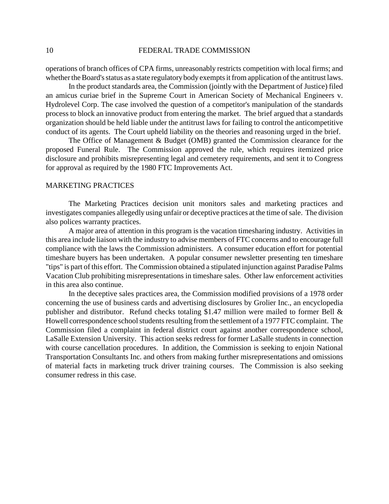operations of branch offices of CPA firms, unreasonably restricts competition with local firms; and whether the Board's status as a state regulatory body exempts it from application of the antitrust laws.

In the product standards area, the Commission (jointly with the Department of Justice) filed an amicus curiae brief in the Supreme Court in American Society of Mechanical Engineers v. Hydrolevel Corp. The case involved the question of a competitor's manipulation of the standards process to block an innovative product from entering the market. The brief argued that a standards organization should be held liable under the antitrust laws for failing to control the anticompetitive conduct of its agents. The Court upheld liability on the theories and reasoning urged in the brief.

The Office of Management & Budget (OMB) granted the Commission clearance for the proposed Funeral Rule. The Commission approved the rule, which requires itemized price disclosure and prohibits misrepresenting legal and cemetery requirements, and sent it to Congress for approval as required by the 1980 FTC Improvements Act.

# MARKETING PRACTICES

The Marketing Practices decision unit monitors sales and marketing practices and investigates companies allegedly using unfair or deceptive practices at the time of sale. The division also polices warranty practices.

A major area of attention in this program is the vacation timesharing industry. Activities in this area include liaison with the industry to advise members of FTC concerns and to encourage full compliance with the laws the Commission administers. A consumer education effort for potential timeshare buyers has been undertaken. A popular consumer newsletter presenting ten timeshare "tips" is part of this effort. The Commission obtained a stipulated injunction against Paradise Palms Vacation Club prohibiting misrepresentations in timeshare sales. Other law enforcement activities in this area also continue.

In the deceptive sales practices area, the Commission modified provisions of a 1978 order concerning the use of business cards and advertising disclosures by Grolier Inc., an encyclopedia publisher and distributor. Refund checks totaling \$1.47 million were mailed to former Bell & Howell correspondence school students resulting from the settlement of a 1977 FTC complaint. The Commission filed a complaint in federal district court against another correspondence school, LaSalle Extension University. This action seeks redress for former LaSalle students in connection with course cancellation procedures. In addition, the Commission is seeking to enjoin National Transportation Consultants Inc. and others from making further misrepresentations and omissions of material facts in marketing truck driver training courses. The Commission is also seeking consumer redress in this case.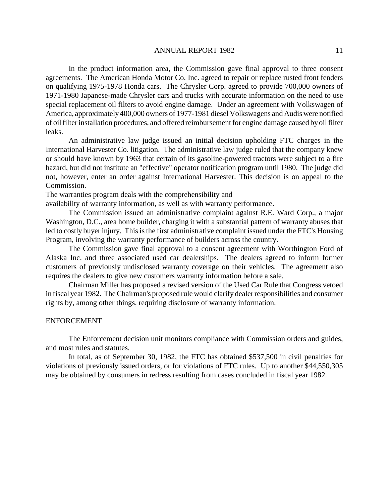In the product information area, the Commission gave final approval to three consent agreements. The American Honda Motor Co. Inc. agreed to repair or replace rusted front fenders on qualifying 1975-1978 Honda cars. The Chrysler Corp. agreed to provide 700,000 owners of 1971-1980 Japanese-made Chrysler cars and trucks with accurate information on the need to use special replacement oil filters to avoid engine damage. Under an agreement with Volkswagen of America, approximately400,000 owners of 1977-1981 diesel Volkswagens and Audis were notified of oil filter installation procedures, and offered reimbursement for engine damage caused by oil filter leaks.

An administrative law judge issued an initial decision upholding FTC charges in the International Harvester Co. litigation. The administrative law judge ruled that the company knew or should have known by 1963 that certain of its gasoline-powered tractors were subject to a fire hazard, but did not institute an "effective" operator notification program until 1980. The judge did not, however, enter an order against International Harvester. This decision is on appeal to the Commission.

The warranties program deals with the comprehensibility and

availability of warranty information, as well as with warranty performance.

The Commission issued an administrative complaint against R.E. Ward Corp., a major Washington, D.C., area home builder, charging it with a substantial pattern of warranty abuses that led to costly buyer injury. This is the first administrative complaint issued under the FTC's Housing Program, involving the warranty performance of builders across the country.

The Commission gave final approval to a consent agreement with Worthington Ford of Alaska Inc. and three associated used car dealerships. The dealers agreed to inform former customers of previously undisclosed warranty coverage on their vehicles. The agreement also requires the dealers to give new customers warranty information before a sale.

Chairman Miller has proposed a revised version of the Used Car Rule that Congress vetoed in fiscal year 1982. The Chairman's proposed rule would clarify dealer responsibilities and consumer rights by, among other things, requiring disclosure of warranty information.

#### ENFORCEMENT

The Enforcement decision unit monitors compliance with Commission orders and guides, and most rules and statutes.

In total, as of September 30, 1982, the FTC has obtained \$537,500 in civil penalties for violations of previously issued orders, or for violations of FTC rules. Up to another \$44,550,305 may be obtained by consumers in redress resulting from cases concluded in fiscal year 1982.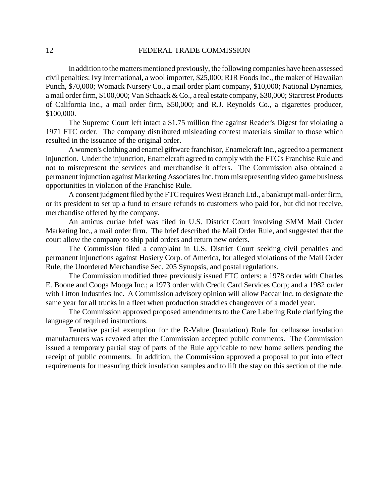In addition to the matters mentioned previously, the following companies have been assessed civil penalties: Ivy International, a wool importer, \$25,000; RJR Foods Inc., the maker of Hawaiian Punch, \$70,000; Womack Nursery Co., a mail order plant company, \$10,000; National Dynamics, a mail order firm, \$100,000; Van Schaack & Co., a real estate company, \$30,000; Starcrest Products of California Inc., a mail order firm, \$50,000; and R.J. Reynolds Co., a cigarettes producer, \$100,000.

The Supreme Court left intact a \$1.75 million fine against Reader's Digest for violating a 1971 FTC order. The company distributed misleading contest materials similar to those which resulted in the issuance of the original order.

A women's clothing and enamel giftware franchisor, Enamelcraft Inc., agreed to a permanent injunction. Under the injunction, Enamelcraft agreed to comply with the FTC's Franchise Rule and not to misrepresent the services and merchandise it offers. The Commission also obtained a permanent injunction against Marketing Associates Inc. from misrepresenting video game business opportunities in violation of the Franchise Rule.

A consent judgment filed by the FTC requires West Branch Ltd., a bankrupt mail-order firm, or its president to set up a fund to ensure refunds to customers who paid for, but did not receive, merchandise offered by the company.

An amicus curiae brief was filed in U.S. District Court involving SMM Mail Order Marketing Inc., a mail order firm. The brief described the Mail Order Rule, and suggested that the court allow the company to ship paid orders and return new orders.

The Commission filed a complaint in U.S. District Court seeking civil penalties and permanent injunctions against Hosiery Corp. of America, for alleged violations of the Mail Order Rule, the Unordered Merchandise Sec. 205 Synopsis, and postal regulations.

The Commission modified three previously issued FTC orders: a 1978 order with Charles E. Boone and Cooga Mooga Inc.; a 1973 order with Credit Card Services Corp; and a 1982 order with Litton Industries Inc. A Commission advisory opinion will allow Paccar Inc. to designate the same year for all trucks in a fleet when production straddles changeover of a model year.

The Commission approved proposed amendments to the Care Labeling Rule clarifying the language of required instructions.

Tentative partial exemption for the R-Value (Insulation) Rule for cellusose insulation manufacturers was revoked after the Commission accepted public comments. The Commission issued a temporary partial stay of parts of the Rule applicable to new home sellers pending the receipt of public comments. In addition, the Commission approved a proposal to put into effect requirements for measuring thick insulation samples and to lift the stay on this section of the rule.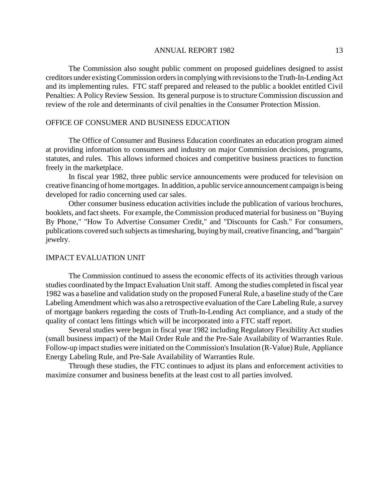The Commission also sought public comment on proposed guidelines designed to assist creditors under existingCommission ordersin complyingwith revisionsto theTruth-In-Lending Act and its implementing rules. FTC staff prepared and released to the public a booklet entitled Civil Penalties: A Policy Review Session. Its general purpose is to structure Commission discussion and review of the role and determinants of civil penalties in the Consumer Protection Mission.

# OFFICE OF CONSUMER AND BUSINESS EDUCATION

The Office of Consumer and Business Education coordinates an education program aimed at providing information to consumers and industry on major Commission decisions, programs, statutes, and rules. This allows informed choices and competitive business practices to function freely in the marketplace.

In fiscal year 1982, three public service announcements were produced for television on creative financing of home mortgages. In addition, a public service announcement campaign is being developed for radio concerning used car sales.

Other consumer business education activities include the publication of various brochures, booklets, and fact sheets. For example, the Commission produced material for business on "Buying" By Phone," "How To Advertise Consumer Credit," and "Discounts for Cash." For consumers, publications covered such subjects astimesharing, buying bymail, creative financing, and "bargain" jewelry.

## IMPACT EVALUATION UNIT

The Commission continued to assess the economic effects of its activities through various studies coordinated by the Impact Evaluation Unit staff. Among the studies completed in fiscal year 1982 was a baseline and validation study on the proposed Funeral Rule, a baseline study of the Care Labeling Amendment which was also a retrospective evaluation of the Care Labeling Rule, a survey of mortgage bankers regarding the costs of Truth-In-Lending Act compliance, and a study of the quality of contact lens fittings which will be incorporated into a FTC staff report.

Several studies were begun in fiscal year 1982 including Regulatory Flexibility Act studies (small business impact) of the Mail Order Rule and the Pre-Sale Availability of Warranties Rule. Follow-up impact studies were initiated on the Commission's Insulation (R-Value) Rule, Appliance Energy Labeling Rule, and Pre-Sale Availability of Warranties Rule.

Through these studies, the FTC continues to adjust its plans and enforcement activities to maximize consumer and business benefits at the least cost to all parties involved.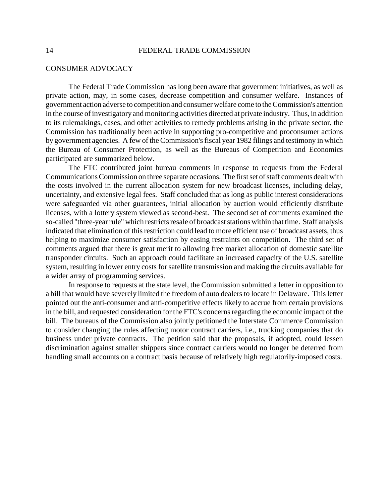#### CONSUMER ADVOCACY

The Federal Trade Commission has long been aware that government initiatives, as well as private action, may, in some cases, decrease competition and consumer welfare. Instances of government action adverse to competition and consumer welfare come to the Commission's attention in the course of investigatory and monitoring activities directed at private industry. Thus, in addition to its rulemakings, cases, and other activities to remedy problems arising in the private sector, the Commission has traditionally been active in supporting pro-competitive and proconsumer actions by government agencies. A few of the Commission's fiscal year 1982 filings and testimony in which the Bureau of Consumer Protection, as well as the Bureaus of Competition and Economics participated are summarized below.

The FTC contributed joint bureau comments in response to requests from the Federal Communications Commission on three separate occasions. The first set of staff comments dealt with the costs involved in the current allocation system for new broadcast licenses, including delay, uncertainty, and extensive legal fees. Staff concluded that as long as public interest considerations were safeguarded via other guarantees, initial allocation by auction would efficiently distribute licenses, with a lottery system viewed as second-best. The second set of comments examined the so-called "three-year rule" which restricts resale of broadcast stations within that time. Staff analysis indicated that elimination of this restriction could lead to more efficient use of broadcast assets, thus helping to maximize consumer satisfaction by easing restraints on competition. The third set of comments argued that there is great merit to allowing free market allocation of domestic satellite transponder circuits. Such an approach could facilitate an increased capacity of the U.S. satellite system, resulting in lower entry costs for satellite transmission and making the circuits available for a wider array of programming services.

In response to requests at the state level, the Commission submitted a letter in opposition to a bill that would have severely limited the freedom of auto dealers to locate in Delaware. This letter pointed out the anti-consumer and anti-competitive effects likely to accrue from certain provisions in the bill, and requested consideration for the FTC's concerns regarding the economic impact of the bill. The bureaus of the Commission also jointly petitioned the Interstate Commerce Commission to consider changing the rules affecting motor contract carriers, i.e., trucking companies that do business under private contracts. The petition said that the proposals, if adopted, could lessen discrimination against smaller shippers since contract carriers would no longer be deterred from handling small accounts on a contract basis because of relatively high regulatorily-imposed costs.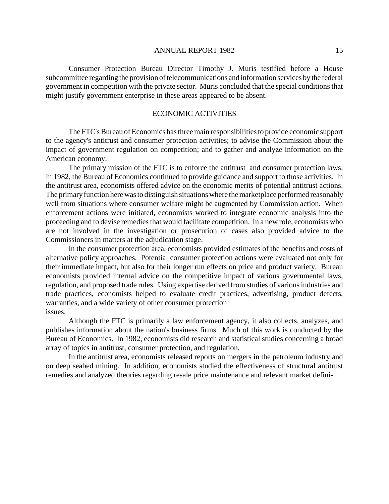Consumer Protection Bureau Director Timothy J. Muris testified before a House subcommittee regarding the provision of telecommunications and information services by the federal government in competition with the private sector. Muris concluded that the special conditions that might justify government enterprise in these areas appeared to be absent.

# ECONOMIC ACTIVITIES

The FTC's Bureau of Economics has three main responsibilities to provide economic support to the agency's antitrust and consumer protection activities; to advise the Commission about the impact of government regulation on competition; and to gather and analyze information on the American economy.

The primary mission of the FTC is to enforce the antitrust and consumer protection laws. In 1982, the Bureau of Economics continued to provide guidance and support to those activities. In the antitrust area, economists offered advice on the economic merits of potential antitrust actions. The primary function here was to distinguish situations where the marketplace performed reasonably well from situations where consumer welfare might be augmented by Commission action. When enforcement actions were initiated, economists worked to integrate economic analysis into the proceeding and to devise remedies that would facilitate competition. In a new role, economists who are not involved in the investigation or prosecution of cases also provided advice to the Commissioners in matters at the adjudication stage.

In the consumer protection area, economists provided estimates of the benefits and costs of alternative policy approaches. Potential consumer protection actions were evaluated not only for their immediate impact, but also for their longer run effects on price and product variety. Bureau economists provided internal advice on the competitive impact of various governmental laws, regulation, and proposed trade rules. Using expertise derived from studies of various industries and trade practices, economists helped to evaluate credit practices, advertising, product defects, warranties, and a wide variety of other consumer protection issues.

Although the FTC is primarily a law enforcement agency, it also collects, analyzes, and publishes information about the nation's business firms. Much of this work is conducted by the Bureau of Economics. In 1982, economists did research and statistical studies concerning a broad array of topics in antitrust, consumer protection, and regulation.

In the antitrust area, economists released reports on mergers in the petroleum industry and on deep seabed mining. In addition, economists studied the effectiveness of structural antitrust remedies and analyzed theories regarding resale price maintenance and relevant market defini-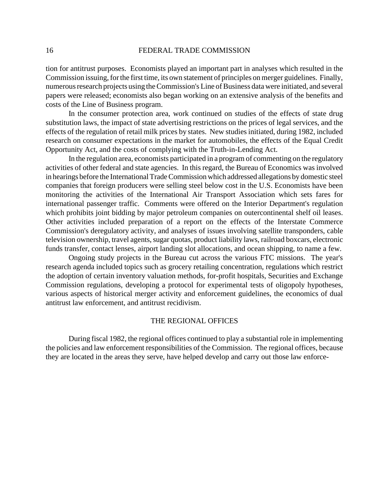tion for antitrust purposes. Economists played an important part in analyses which resulted in the Commission issuing, for the first time, its own statement of principles on merger guidelines. Finally, numerous research projects using the Commission's Line of Business data were initiated, and several papers were released; economists also began working on an extensive analysis of the benefits and costs of the Line of Business program.

In the consumer protection area, work continued on studies of the effects of state drug substitution laws, the impact of state advertising restrictions on the prices of legal services, and the effects of the regulation of retail milk prices by states. New studies initiated, during 1982, included research on consumer expectations in the market for automobiles, the effects of the Equal Credit Opportunity Act, and the costs of complying with the Truth-in-Lending Act.

In the regulation area, economists participated in a program of commenting on the regulatory activities of other federal and state agencies. In this regard, the Bureau of Economics was involved in hearings before the International Trade Commission which addressed allegations by domestic steel companies that foreign producers were selling steel below cost in the U.S. Economists have been monitoring the activities of the International Air Transport Association which sets fares for international passenger traffic. Comments were offered on the Interior Department's regulation which prohibits joint bidding by major petroleum companies on outercontinental shelf oil leases. Other activities included preparation of a report on the effects of the Interstate Commerce Commission's deregulatory activity, and analyses of issues involving satellite transponders, cable television ownership, travel agents, sugar quotas, product liability laws, railroad boxcars, electronic funds transfer, contact lenses, airport landing slot allocations, and ocean shipping, to name a few.

Ongoing study projects in the Bureau cut across the various FTC missions. The year's research agenda included topics such as grocery retailing concentration, regulations which restrict the adoption of certain inventory valuation methods, for-profit hospitals, Securities and Exchange Commission regulations, developing a protocol for experimental tests of oligopoly hypotheses, various aspects of historical merger activity and enforcement guidelines, the economics of dual antitrust law enforcement, and antitrust recidivism.

## THE REGIONAL OFFICES

During fiscal 1982, the regional offices continued to play a substantial role in implementing the policies and law enforcement responsibilities of the Commission. The regional offices, because they are located in the areas they serve, have helped develop and carry out those law enforce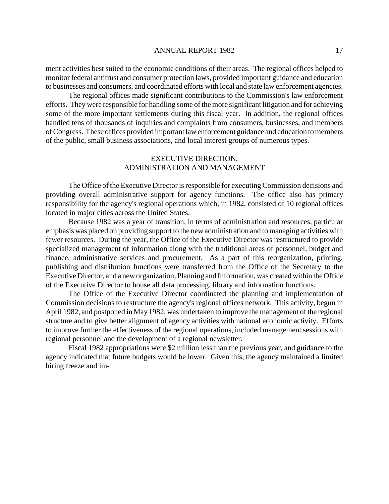ment activities best suited to the economic conditions of their areas. The regional offices helped to monitor federal antitrust and consumer protection laws, provided important guidance and education to businesses and consumers, and coordinated efforts with local and state law enforcement agencies.

The regional offices made significant contributions to the Commission's law enforcement efforts. They were responsible for handling some of the more significant litigation and for achieving some of the more important settlements during this fiscal year. In addition, the regional offices handled tens of thousands of inquiries and complaints from consumers, businesses, and members ofCongress. These offices provided important law enforcement guidance and education to members of the public, small business associations, and local interest groups of numerous types.

# EXECUTIVE DIRECTION, ADMINISTRATION AND MANAGEMENT

The Office of the Executive Director is responsible for executing Commission decisions and providing overall administrative support for agency functions. The office also has primary responsibility for the agency's regional operations which, in 1982, consisted of 10 regional offices located in major cities across the United States.

Because 1982 was a year of transition, in terms of administration and resources, particular emphasis was placed on providing support to the new administration and to managing activities with fewer resources. During the year, the Office of the Executive Director was restructured to provide specialized management of information along with the traditional areas of personnel, budget and finance, administrative services and procurement. As a part of this reorganization, printing, publishing and distribution functions were transferred from the Office of the Secretary to the Executive Director, and a new organization, Planning and Information, was created within the Office of the Executive Director to house all data processing, library and information functions.

The Office of the Executive Director coordinated the planning and implementation of Commission decisions to restructure the agency's regional offices network. This activity, begun in April 1982, and postponed in May 1982, was undertaken to improve the management of the regional structure and to give better alignment of agency activities with national economic activity. Efforts to improve further the effectiveness of the regional operations, included management sessions with regional personnel and the development of a regional newsletter.

Fiscal 1982 appropriations were \$2 million less than the previous year, and guidance to the agency indicated that future budgets would be lower. Given this, the agency maintained a limited hiring freeze and im-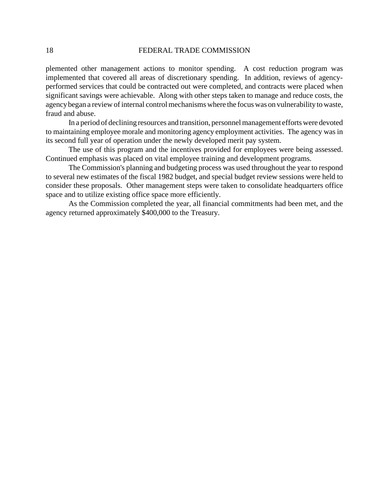plemented other management actions to monitor spending. A cost reduction program was implemented that covered all areas of discretionary spending. In addition, reviews of agencyperformed services that could be contracted out were completed, and contracts were placed when significant savings were achievable. Along with other steps taken to manage and reduce costs, the agency began a review of internal control mechanisms where the focus was on vulnerability to waste, fraud and abuse.

In a period of declining resources and transition, personnel management efforts were devoted to maintaining employee morale and monitoring agency employment activities. The agency was in its second full year of operation under the newly developed merit pay system.

The use of this program and the incentives provided for employees were being assessed. Continued emphasis was placed on vital employee training and development programs.

The Commission's planning and budgeting process was used throughout the year to respond to several new estimates of the fiscal 1982 budget, and special budget review sessions were held to consider these proposals. Other management steps were taken to consolidate headquarters office space and to utilize existing office space more efficiently.

As the Commission completed the year, all financial commitments had been met, and the agency returned approximately \$400,000 to the Treasury.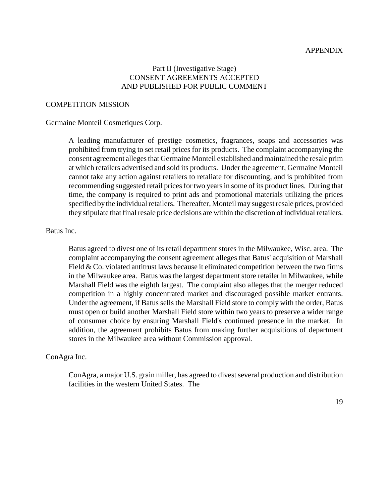#### APPENDIX

# Part II (Investigative Stage) CONSENT AGREEMENTS ACCEPTED AND PUBLISHED FOR PUBLIC COMMENT

# COMPETITION MISSION

## Germaine Monteil Cosmetiques Corp.

A leading manufacturer of prestige cosmetics, fragrances, soaps and accessories was prohibited from trying to set retail prices for its products. The complaint accompanying the consent agreement alleges that Germaine Monteil established and maintained the resale prim at which retailers advertised and sold its products. Under the agreement, Germaine Monteil cannot take any action against retailers to retaliate for discounting, and is prohibited from recommending suggested retail prices for two years in some of its product lines. During that time, the company is required to print ads and promotional materials utilizing the prices specified by the individual retailers. Thereafter, Monteil may suggest resale prices, provided they stipulate that final resale price decisions are within the discretion of individual retailers.

# Batus Inc.

Batus agreed to divest one of its retail department stores in the Milwaukee, Wisc. area. The complaint accompanying the consent agreement alleges that Batus' acquisition of Marshall Field & Co. violated antitrust laws because it eliminated competition between the two firms in the Milwaukee area. Batus was the largest department store retailer in Milwaukee, while Marshall Field was the eighth largest. The complaint also alleges that the merger reduced competition in a highly concentrated market and discouraged possible market entrants. Under the agreement, if Batus sells the Marshall Field store to comply with the order, Batus must open or build another Marshall Field store within two years to preserve a wider range of consumer choice by ensuring Marshall Field's continued presence in the market. In addition, the agreement prohibits Batus from making further acquisitions of department stores in the Milwaukee area without Commission approval.

# ConAgra Inc.

ConAgra, a major U.S. grain miller, has agreed to divest several production and distribution facilities in the western United States. The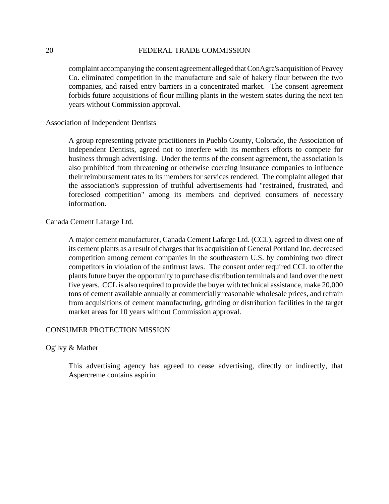complaint accompanying the consent agreement alleged that ConAgra's acquisition of Peavey Co. eliminated competition in the manufacture and sale of bakery flour between the two companies, and raised entry barriers in a concentrated market. The consent agreement forbids future acquisitions of flour milling plants in the western states during the next ten years without Commission approval.

Association of Independent Dentists

A group representing private practitioners in Pueblo County, Colorado, the Association of Independent Dentists, agreed not to interfere with its members efforts to compete for business through advertising. Under the terms of the consent agreement, the association is also prohibited from threatening or otherwise coercing insurance companies to influence their reimbursement rates to its members for services rendered. The complaint alleged that the association's suppression of truthful advertisements had "restrained, frustrated, and foreclosed competition" among its members and deprived consumers of necessary information.

Canada Cement Lafarge Ltd.

A major cement manufacturer, Canada Cement Lafarge Ltd. (CCL), agreed to divest one of its cement plants as a result of charges that its acquisition of General Portland Inc. decreased competition among cement companies in the southeastern U.S. by combining two direct competitors in violation of the antitrust laws. The consent order required CCL to offer the plants future buyer the opportunity to purchase distribution terminals and land over the next five years. CCL is also required to provide the buyer with technical assistance, make 20,000 tons of cement available annually at commercially reasonable wholesale prices, and refrain from acquisitions of cement manufacturing, grinding or distribution facilities in the target market areas for 10 years without Commission approval.

## CONSUMER PROTECTION MISSION

Ogilvy & Mather

This advertising agency has agreed to cease advertising, directly or indirectly, that Aspercreme contains aspirin.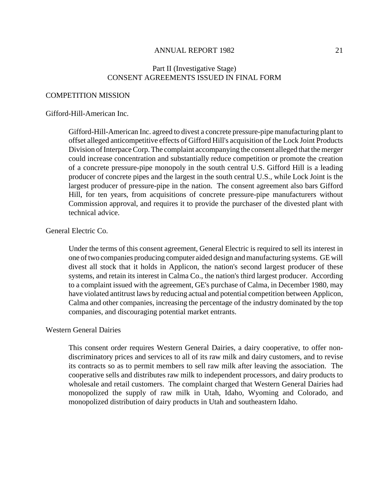# Part II (Investigative Stage) CONSENT AGREEMENTS ISSUED IN FINAL FORM

#### COMPETITION MISSION

#### Gifford-Hill-American Inc.

Gifford-Hill-American Inc. agreed to divest a concrete pressure-pipe manufacturing plant to offset alleged anticompetitive effects of Gifford Hill's acquisition of the Lock Joint Products Division of Interpace Corp. The complaint accompanying the consent alleged that the merger could increase concentration and substantially reduce competition or promote the creation of a concrete pressure-pipe monopoly in the south central U.S. Gifford Hill is a leading producer of concrete pipes and the largest in the south central U.S., while Lock Joint is the largest producer of pressure-pipe in the nation. The consent agreement also bars Gifford Hill, for ten years, from acquisitions of concrete pressure-pipe manufacturers without Commission approval, and requires it to provide the purchaser of the divested plant with technical advice.

# General Electric Co.

Under the terms of this consent agreement, General Electric is required to sell its interest in one of two companies producing computer aided design and manufacturing systems. GE will divest all stock that it holds in Applicon, the nation's second largest producer of these systems, and retain its interest in Calma Co., the nation's third largest producer. According to a complaint issued with the agreement, GE's purchase of Calma, in December 1980, may have violated antitrust laws by reducing actual and potential competition between Applicon, Calma and other companies, increasing the percentage of the industry dominated by the top companies, and discouraging potential market entrants.

## Western General Dairies

This consent order requires Western General Dairies, a dairy cooperative, to offer nondiscriminatory prices and services to all of its raw milk and dairy customers, and to revise its contracts so as to permit members to sell raw milk after leaving the association. The cooperative sells and distributes raw milk to independent processors, and dairy products to wholesale and retail customers. The complaint charged that Western General Dairies had monopolized the supply of raw milk in Utah, Idaho, Wyoming and Colorado, and monopolized distribution of dairy products in Utah and southeastern Idaho.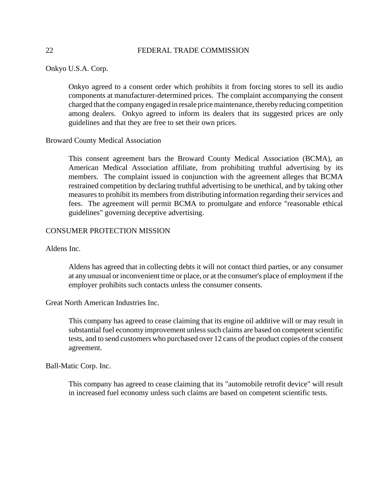Onkyo U.S.A. Corp.

Onkyo agreed to a consent order which prohibits it from forcing stores to sell its audio components at manufacturer-determined prices. The complaint accompanying the consent charged that the company engaged in resale price maintenance, thereby reducing competition among dealers. Onkyo agreed to inform its dealers that its suggested prices are only guidelines and that they are free to set their own prices.

## Broward County Medical Association

This consent agreement bars the Broward County Medical Association (BCMA), an American Medical Association affiliate, from prohibiting truthful advertising by its members. The complaint issued in conjunction with the agreement alleges that BCMA restrained competition by declaring truthful advertising to be unethical, and by taking other measures to prohibit its members from distributing information regarding their services and fees. The agreement will permit BCMA to promulgate and enforce "reasonable ethical guidelines" governing deceptive advertising.

# CONSUMER PROTECTION MISSION

Aldens Inc.

Aldens has agreed that in collecting debts it will not contact third parties, or any consumer at any unusual or inconvenient time or place, or at the consumer's place of employment if the employer prohibits such contacts unless the consumer consents.

Great North American Industries Inc.

This company has agreed to cease claiming that its engine oil additive will or may result in substantial fuel economy improvement unless such claims are based on competent scientific tests, and to send customers who purchased over 12 cans of the product copies of the consent agreement.

Ball-Matic Corp. Inc.

This company has agreed to cease claiming that its "automobile retrofit device" will result in increased fuel economy unless such claims are based on competent scientific tests.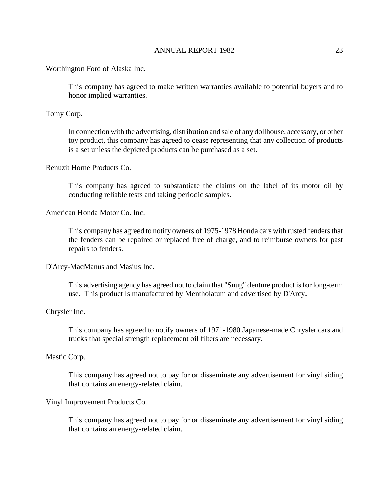Worthington Ford of Alaska Inc.

This company has agreed to make written warranties available to potential buyers and to honor implied warranties.

Tomy Corp.

In connection with the advertising, distribution and sale of any dollhouse, accessory, or other toy product, this company has agreed to cease representing that any collection of products is a set unless the depicted products can be purchased as a set.

# Renuzit Home Products Co.

This company has agreed to substantiate the claims on the label of its motor oil by conducting reliable tests and taking periodic samples.

American Honda Motor Co. Inc.

This company has agreed to notify owners of 1975-1978 Honda cars with rusted fenders that the fenders can be repaired or replaced free of charge, and to reimburse owners for past repairs to fenders.

D'Arcy-MacManus and Masius Inc.

This advertising agency has agreed not to claim that "Snug" denture product is for long-term use. This product Is manufactured by Mentholatum and advertised by D'Arcy.

# Chrysler Inc.

This company has agreed to notify owners of 1971-1980 Japanese-made Chrysler cars and trucks that special strength replacement oil filters are necessary.

# Mastic Corp.

This company has agreed not to pay for or disseminate any advertisement for vinyl siding that contains an energy-related claim.

#### Vinyl Improvement Products Co.

This company has agreed not to pay for or disseminate any advertisement for vinyl siding that contains an energy-related claim.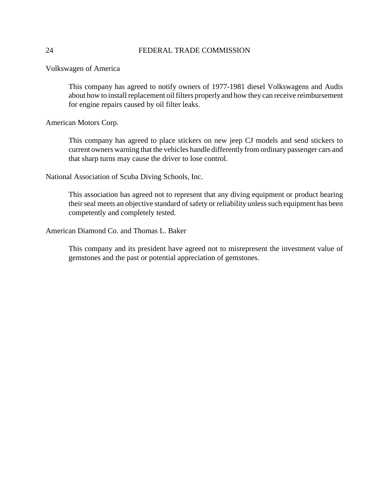Volkswagen of America

This company has agreed to notify owners of 1977-1981 diesel Volkswagens and Audis about how to install replacement oil filters properly and how they can receive reimbursement for engine repairs caused by oil filter leaks.

American Motors Corp.

This company has agreed to place stickers on new jeep CJ models and send stickers to current owners warning that the vehicles handle differently from ordinary passenger cars and that sharp turns may cause the driver to lose control.

National Association of Scuba Diving Schools, Inc.

This association has agreed not to represent that any diving equipment or product bearing their seal meets an objective standard of safety or reliability unless such equipment has been competently and completely tested.

American Diamond Co. and Thomas L. Baker

This company and its president have agreed not to misrepresent the investment value of gemstones and the past or potential appreciation of gemstones.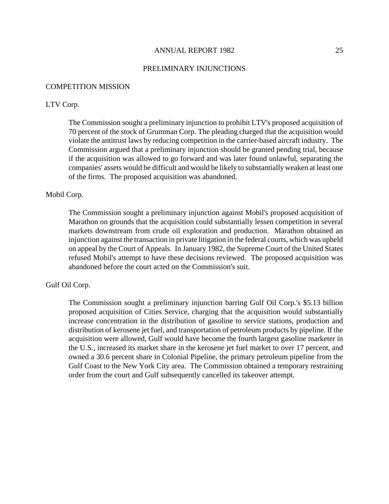#### PRELIMINARY INJUNCTIONS

#### COMPETITION MISSION

# LTV Corp.

The Commission sought a preliminary injunction to prohibit LTV's proposed acquisition of 70 percent of the stock of Grumman Corp. The pleading charged that the acquisition would violate the antitrust laws by reducing competition in the carrier-based aircraft industry. The Commission argued that a preliminary injunction should be granted pending trial, because if the acquisition was allowed to go forward and was later found unlawful, separating the companies' assets would be difficult and would be likely to substantially weaken at least one of the firms. The proposed acquisition was abandoned.

# Mobil Corp.

The Commission sought a preliminary injunction against Mobil's proposed acquisition of Marathon on grounds that the acquisition could substantially lessen competition in several markets downstream from crude oil exploration and production. Marathon obtained an injunction against the transaction in private litigation in the federal courts, which was upheld on appeal by the Court of Appeals. In January 1982, the Supreme Court of the United States refused Mobil's attempt to have these decisions reviewed. The proposed acquisition was abandoned before the court acted on the Commission's suit.

# Gulf Oil Corp.

The Commission sought a preliminary injunction barring Gulf Oil Corp.'s \$5.13 billion proposed acquisition of Cities Service, charging that the acquisition would substantially increase concentration in the distribution of gasoline to service stations, production and distribution of kerosene jet fuel, and transportation of petroleum products by pipeline. If the acquisition were allowed, Gulf would have become the fourth largest gasoline marketer in the U.S., increased its market share in the kerosene jet fuel market to over 17 percent, and owned a 30.6 percent share in Colonial Pipeline, the primary petroleum pipeline from the Gulf Coast to the New York City area. The Commission obtained a temporary restraining order from the court and Gulf subsequently cancelled its takeover attempt.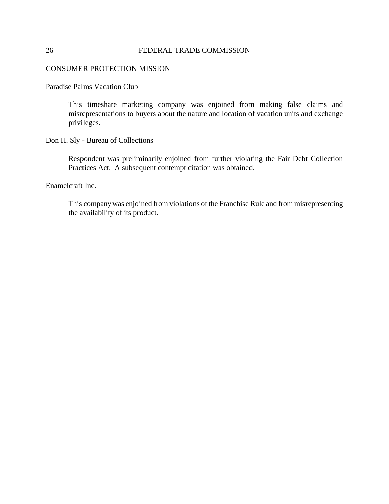# CONSUMER PROTECTION MISSION

Paradise Palms Vacation Club

This timeshare marketing company was enjoined from making false claims and misrepresentations to buyers about the nature and location of vacation units and exchange privileges.

Don H. Sly - Bureau of Collections

Respondent was preliminarily enjoined from further violating the Fair Debt Collection Practices Act. A subsequent contempt citation was obtained.

Enamelcraft Inc.

This company was enjoined from violations of the Franchise Rule and from misrepresenting the availability of its product.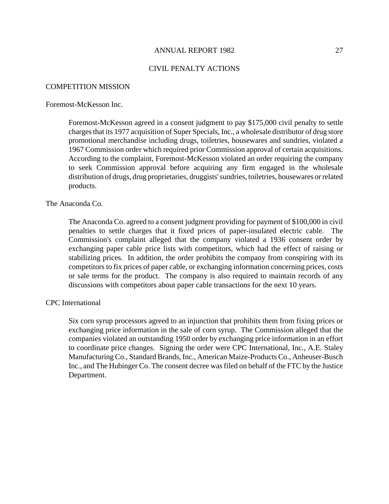#### CIVIL PENALTY ACTIONS

#### COMPETITION MISSION

#### Foremost-McKesson Inc.

Foremost-McKesson agreed in a consent judgment to pay \$175,000 civil penalty to settle chargesthat its 1977 acquisition of Super Specials, Inc., a wholesale distributor of drug store promotional merchandise including drugs, toiletries, housewares and sundries, violated a 1967 Commission order which required prior Commission approval of certain acquisitions. According to the complaint, Foremost-McKesson violated an order requiring the company to seek Commission approval before acquiring any firm engaged in the wholesale distribution of drugs, drug proprietaries, druggists'sundries, toiletries, housewares orrelated products.

## The Anaconda Co.

The Anaconda Co. agreed to a consent judgment providing for payment of \$100,000 in civil penalties to settle charges that it fixed prices of paper-insulated electric cable. The Commission's complaint alleged that the company violated a 1936 consent order by exchanging paper cable price lists with competitors, which had the effect of raising or stabilizing prices. In addition, the order prohibits the company from conspiring with its competitors to fix prices of paper cable, or exchanging information concerning prices, costs or sale terms for the product. The company is also required to maintain records of any discussions with competitors about paper cable transactions for the next 10 years.

#### CPC International

Six corn syrup processors agreed to an injunction that prohibits them from fixing prices or exchanging price information in the sale of corn syrup. The Commission alleged that the companies violated an outstanding 1950 order by exchanging price information in an effort to coordinate price changes. Signing the order were CPC International, Inc., A.E. Staley Manufacturing Co., Standard Brands, Inc., American Maize-Products Co., Anheuser-Busch Inc., and The Hubinger Co. The consent decree wasfiled on behalf of the FTC by the Justice Department.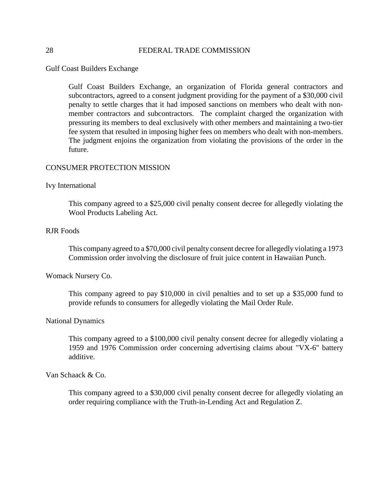Gulf Coast Builders Exchange

Gulf Coast Builders Exchange, an organization of Florida general contractors and subcontractors, agreed to a consent judgment providing for the payment of a \$30,000 civil penalty to settle charges that it had imposed sanctions on members who dealt with nonmember contractors and subcontractors. The complaint charged the organization with pressuring its members to deal exclusively with other members and maintaining a two-tier fee system that resulted in imposing higher fees on members who dealt with non-members. The judgment enjoins the organization from violating the provisions of the order in the future.

#### CONSUMER PROTECTION MISSION

#### Ivy International

This company agreed to a \$25,000 civil penalty consent decree for allegedly violating the Wool Products Labeling Act.

# RJR Foods

This company agreed to a \$70,000 civil penalty consent decree for allegedly violating a 1973 Commission order involving the disclosure of fruit juice content in Hawaiian Punch.

#### Womack Nursery Co.

This company agreed to pay \$10,000 in civil penalties and to set up a \$35,000 fund to provide refunds to consumers for allegedly violating the Mail Order Rule.

#### National Dynamics

This company agreed to a \$100,000 civil penalty consent decree for allegedly violating a 1959 and 1976 Commission order concerning advertising claims about "VX-6" battery additive.

Van Schaack & Co.

This company agreed to a \$30,000 civil penalty consent decree for allegedly violating an order requiring compliance with the Truth-in-Lending Act and Regulation Z.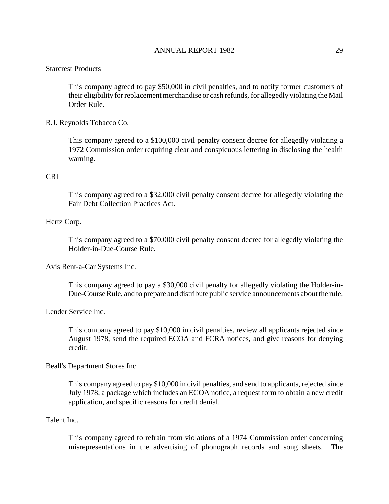#### Starcrest Products

This company agreed to pay \$50,000 in civil penalties, and to notify former customers of their eligibility for replacement merchandise or cash refunds, for allegedly violating the Mail Order Rule.

#### R.J. Reynolds Tobacco Co.

This company agreed to a \$100,000 civil penalty consent decree for allegedly violating a 1972 Commission order requiring clear and conspicuous lettering in disclosing the health warning.

# CRI

This company agreed to a \$32,000 civil penalty consent decree for allegedly violating the Fair Debt Collection Practices Act.

#### Hertz Corp.

This company agreed to a \$70,000 civil penalty consent decree for allegedly violating the Holder-in-Due-Course Rule.

Avis Rent-a-Car Systems Inc.

This company agreed to pay a \$30,000 civil penalty for allegedly violating the Holder-in-Due-Course Rule, and to prepare and distribute public service announcements about the rule.

Lender Service Inc.

This company agreed to pay \$10,000 in civil penalties, review all applicants rejected since August 1978, send the required ECOA and FCRA notices, and give reasons for denying credit.

#### Beall's Department Stores Inc.

This company agreed to pay \$10,000 in civil penalties, and send to applicants, rejected since July 1978, a package which includes an ECOA notice, a request form to obtain a new credit application, and specific reasons for credit denial.

# Talent Inc.

This company agreed to refrain from violations of a 1974 Commission order concerning misrepresentations in the advertising of phonograph records and song sheets. The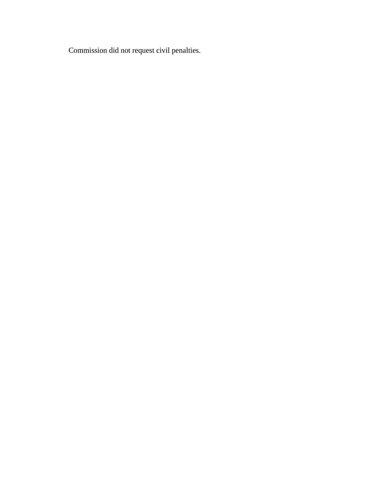Commission did not request civil penalties.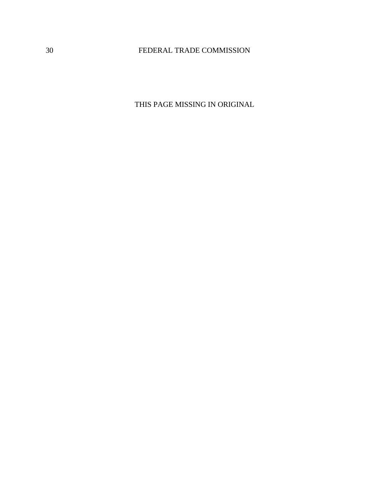THIS PAGE MISSING IN ORIGINAL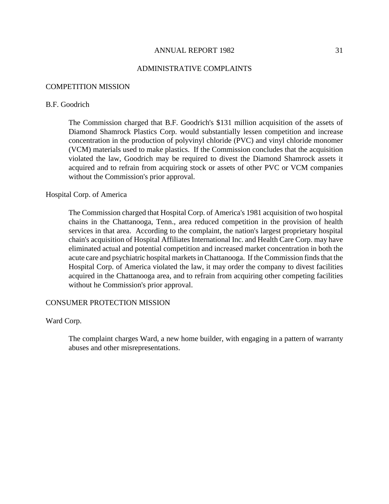#### ADMINISTRATIVE COMPLAINTS

#### COMPETITION MISSION

#### B.F. Goodrich

The Commission charged that B.F. Goodrich's \$131 million acquisition of the assets of Diamond Shamrock Plastics Corp. would substantially lessen competition and increase concentration in the production of polyvinyl chloride (PVC) and vinyl chloride monomer (VCM) materials used to make plastics. If the Commission concludes that the acquisition violated the law, Goodrich may be required to divest the Diamond Shamrock assets it acquired and to refrain from acquiring stock or assets of other PVC or VCM companies without the Commission's prior approval.

#### Hospital Corp. of America

The Commission charged that Hospital Corp. of America's 1981 acquisition of two hospital chains in the Chattanooga, Tenn., area reduced competition in the provision of health services in that area. According to the complaint, the nation's largest proprietary hospital chain's acquisition of Hospital Affiliates International Inc. and Health Care Corp. may have eliminated actual and potential competition and increased market concentration in both the acute care and psychiatric hospital markets in Chattanooga. If the Commission finds that the Hospital Corp. of America violated the law, it may order the company to divest facilities acquired in the Chattanooga area, and to refrain from acquiring other competing facilities without he Commission's prior approval.

#### CONSUMER PROTECTION MISSION

### Ward Corp.

The complaint charges Ward, a new home builder, with engaging in a pattern of warranty abuses and other misrepresentations.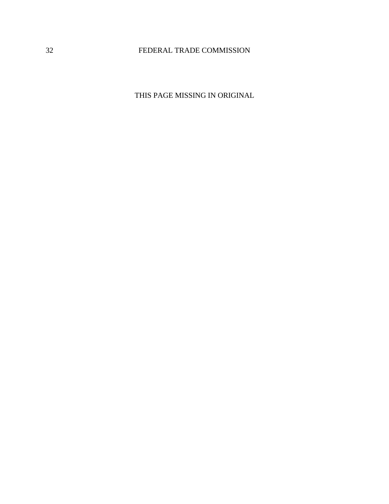THIS PAGE MISSING IN ORIGINAL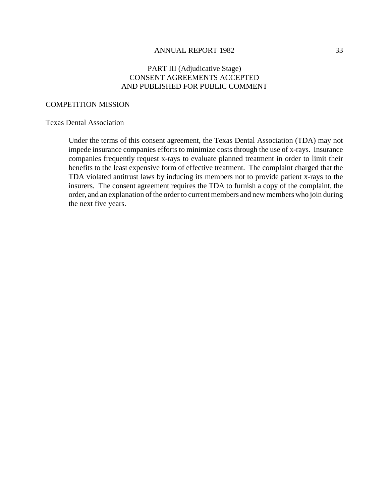# PART III (Adjudicative Stage) CONSENT AGREEMENTS ACCEPTED AND PUBLISHED FOR PUBLIC COMMENT

#### COMPETITION MISSION

### Texas Dental Association

Under the terms of this consent agreement, the Texas Dental Association (TDA) may not impede insurance companies efforts to minimize costs through the use of x-rays. Insurance companies frequently request x-rays to evaluate planned treatment in order to limit their benefits to the least expensive form of effective treatment. The complaint charged that the TDA violated antitrust laws by inducing its members not to provide patient x-rays to the insurers. The consent agreement requires the TDA to furnish a copy of the complaint, the order, and an explanation of the order to current members and new members who join during the next five years.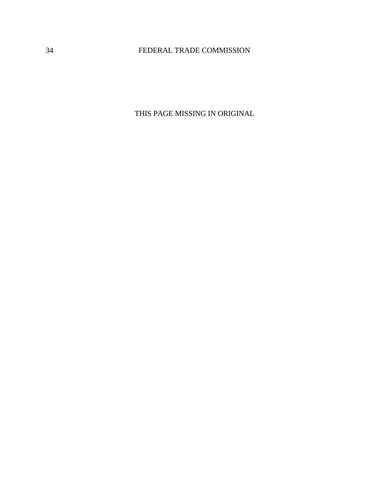THIS PAGE MISSING IN ORIGINAL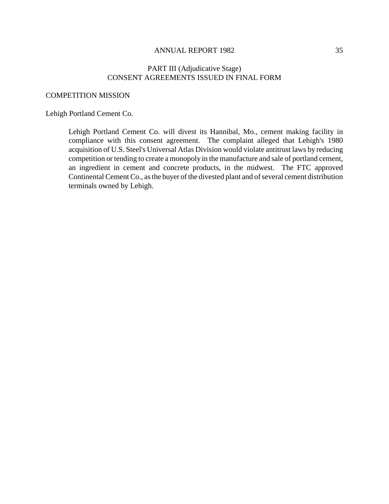# PART III (Adjudicative Stage) CONSENT AGREEMENTS ISSUED IN FINAL FORM

### COMPETITION MISSION

# Lehigh Portland Cement Co.

Lehigh Portland Cement Co. will divest its Hannibal, Mo., cement making facility in compliance with this consent agreement. The complaint alleged that Lehigh's 1980 acquisition of U.S. Steel's Universal Atlas Division would violate antitrust laws by reducing competition or tending to create a monopoly in the manufacture and sale of portland cement, an ingredient in cement and concrete products, in the midwest. The FTC approved Continental Cement Co., as the buyer of the divested plant and of several cement distribution terminals owned by Lehigh.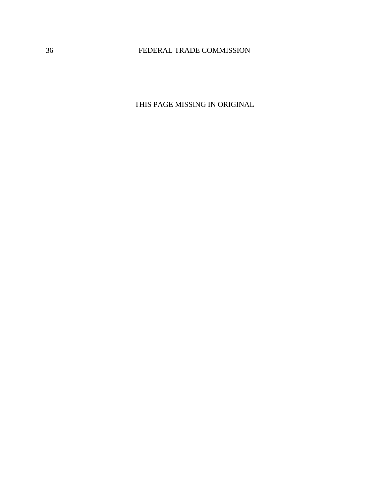THIS PAGE MISSING IN ORIGINAL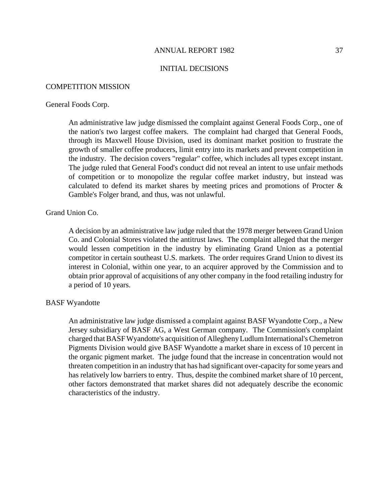#### INITIAL DECISIONS

#### COMPETITION MISSION

#### General Foods Corp.

An administrative law judge dismissed the complaint against General Foods Corp., one of the nation's two largest coffee makers. The complaint had charged that General Foods, through its Maxwell House Division, used its dominant market position to frustrate the growth of smaller coffee producers, limit entry into its markets and prevent competition in the industry. The decision covers "regular" coffee, which includes all types except instant. The judge ruled that General Food's conduct did not reveal an intent to use unfair methods of competition or to monopolize the regular coffee market industry, but instead was calculated to defend its market shares by meeting prices and promotions of Procter & Gamble's Folger brand, and thus, was not unlawful.

### Grand Union Co.

A decision by an administrative law judge ruled that the 1978 merger between Grand Union Co. and Colonial Stores violated the antitrust laws. The complaint alleged that the merger would lessen competition in the industry by eliminating Grand Union as a potential competitor in certain southeast U.S. markets. The order requires Grand Union to divest its interest in Colonial, within one year, to an acquirer approved by the Commission and to obtain prior approval of acquisitions of any other company in the food retailing industry for a period of 10 years.

#### BASF Wyandotte

An administrative law judge dismissed a complaint against BASF Wyandotte Corp., a New Jersey subsidiary of BASF AG, a West German company. The Commission's complaint charged that BASF Wyandotte's acquisition of Allegheny Ludlum International's Chemetron Pigments Division would give BASF Wyandotte a market share in excess of 10 percent in the organic pigment market. The judge found that the increase in concentration would not threaten competition in an industry that has had significant over-capacity for some years and has relatively low barriers to entry. Thus, despite the combined market share of 10 percent, other factors demonstrated that market shares did not adequately describe the economic characteristics of the industry.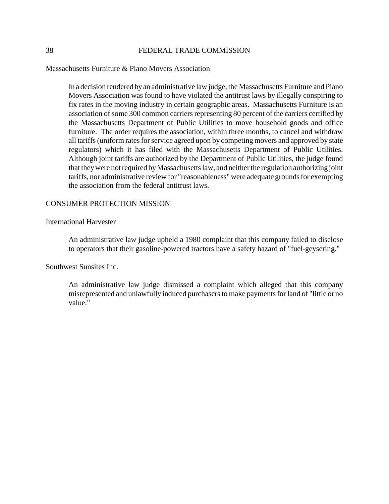Massachusetts Furniture & Piano Movers Association

In a decision rendered byan administrative law judge, the Massachusetts Furniture and Piano Movers Association was found to have violated the antitrust laws by illegally conspiring to fix rates in the moving industry in certain geographic areas. Massachusetts Furniture is an association of some 300 common carriers representing 80 percent of the carriers certified by the Massachusetts Department of Public Utilities to move household goods and office furniture. The order requires the association, within three months, to cancel and withdraw all tariffs (uniform rates for service agreed upon by competing movers and approved by state regulators) which it has filed with the Massachusetts Department of Public Utilities. Although joint tariffs are authorized by the Department of Public Utilities, the judge found that they were not required by Massachusetts law, and neither the regulation authorizing joint tariffs, nor administrative review for "reasonableness" were adequate grounds for exempting the association from the federal antitrust laws.

## CONSUMER PROTECTION MISSION

International Harvester

An administrative law judge upheld a 1980 complaint that this company failed to disclose to operators that their gasoline-powered tractors have a safety hazard of "fuel-geysering."

Southwest Sunsites Inc.

An administrative law judge dismissed a complaint which alleged that this company misrepresented and unlawfully induced purchasersto make paymentsfor land of "little or no value."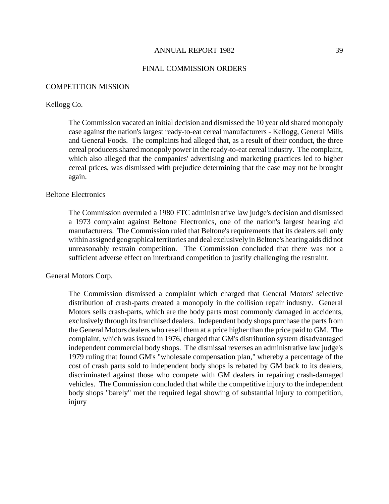#### FINAL COMMISSION ORDERS

#### COMPETITION MISSION

#### Kellogg Co.

The Commission vacated an initial decision and dismissed the 10 year old shared monopoly case against the nation's largest ready-to-eat cereal manufacturers - Kellogg, General Mills and General Foods. The complaints had alleged that, as a result of their conduct, the three cereal producers shared monopoly power in the ready-to-eat cereal industry. The complaint, which also alleged that the companies' advertising and marketing practices led to higher cereal prices, was dismissed with prejudice determining that the case may not be brought again.

#### Beltone Electronics

The Commission overruled a 1980 FTC administrative law judge's decision and dismissed a 1973 complaint against Beltone Electronics, one of the nation's largest hearing aid manufacturers. The Commission ruled that Beltone's requirements that its dealers sell only within assigned geographical territories and deal exclusively in Beltone's hearing aids did not unreasonably restrain competition. The Commission concluded that there was not a sufficient adverse effect on interbrand competition to justify challenging the restraint.

#### General Motors Corp.

The Commission dismissed a complaint which charged that General Motors' selective distribution of crash-parts created a monopoly in the collision repair industry. General Motors sells crash-parts, which are the body parts most commonly damaged in accidents, exclusively through its franchised dealers. Independent body shops purchase the parts from the General Motors dealers who resell them at a price higher than the price paid to GM. The complaint, which was issued in 1976, charged that GM's distribution system disadvantaged independent commercial body shops. The dismissal reverses an administrative law judge's 1979 ruling that found GM's "wholesale compensation plan," whereby a percentage of the cost of crash parts sold to independent body shops is rebated by GM back to its dealers, discriminated against those who compete with GM dealers in repairing crash-damaged vehicles. The Commission concluded that while the competitive injury to the independent body shops "barely" met the required legal showing of substantial injury to competition, injury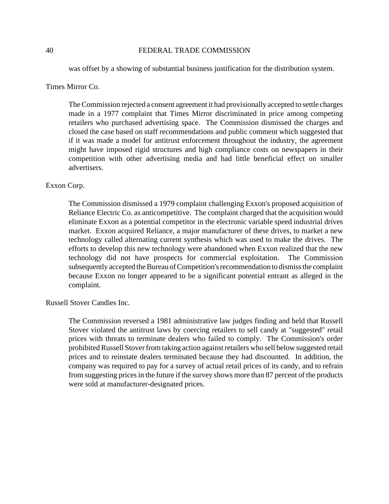was offset by a showing of substantial business justification for the distribution system.

## Times Mirror Co.

TheCommission rejected a consent agreement it had provisionally accepted to settle charges made in a 1977 complaint that Times Mirror discriminated in price among competing retailers who purchased advertising space. The Commission dismissed the charges and closed the case based on staff recommendations and public comment which suggested that if it was made a model for antitrust enforcement throughout the industry, the agreement might have imposed rigid structures and high compliance costs on newspapers in their competition with other advertising media and had little beneficial effect on smaller advertisers.

# Exxon Corp.

The Commission dismissed a 1979 complaint challenging Exxon's proposed acquisition of Reliance Electric Co. as anticompetitive. The complaint charged that the acquisition would eliminate Exxon as a potential competitor in the electronic variable speed industrial drives market. Exxon acquired Reliance, a major manufacturer of these drives, to market a new technology called alternating current synthesis which was used to make the drives. The efforts to develop this new technology were abandoned when Exxon realized that the new technology did not have prospects for commercial exploitation. The Commission subsequently accepted the Bureau of Competition's recommendation to dismiss the complaint because Exxon no longer appeared to be a significant potential entrant as alleged in the complaint.

### Russell Stover Candies Inc.

The Commission reversed a 1981 administrative law judges finding and held that Russell Stover violated the antitrust laws by coercing retailers to sell candy at "suggested" retail prices with threats to terminate dealers who failed to comply. The Commission's order prohibited Russell Stover from taking action against retailers who sell below suggested retail prices and to reinstate dealers terminated because they had discounted. In addition, the company was required to pay for a survey of actual retail prices of its candy, and to refrain from suggesting prices in the future if the survey shows more than 87 percent of the products were sold at manufacturer-designated prices.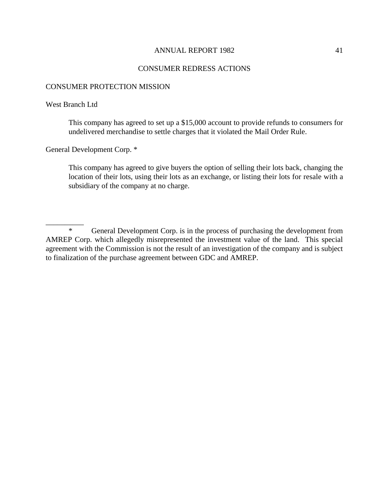## CONSUMER REDRESS ACTIONS

#### CONSUMER PROTECTION MISSION

#### West Branch Ltd

 $\overline{\phantom{a}}$ 

This company has agreed to set up a \$15,000 account to provide refunds to consumers for undelivered merchandise to settle charges that it violated the Mail Order Rule.

General Development Corp. \*

This company has agreed to give buyers the option of selling their lots back, changing the location of their lots, using their lots as an exchange, or listing their lots for resale with a subsidiary of the company at no charge.

\* General Development Corp. is in the process of purchasing the development from AMREP Corp. which allegedly misrepresented the investment value of the land. This special agreement with the Commission is not the result of an investigation of the company and is subject to finalization of the purchase agreement between GDC and AMREP.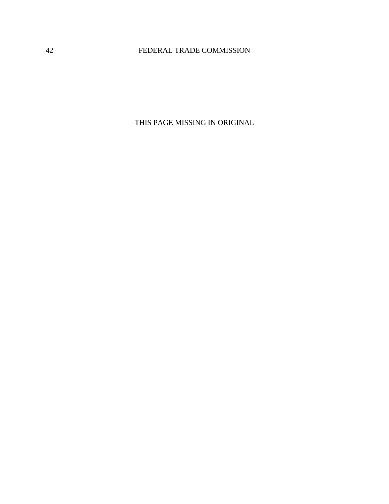THIS PAGE MISSING IN ORIGINAL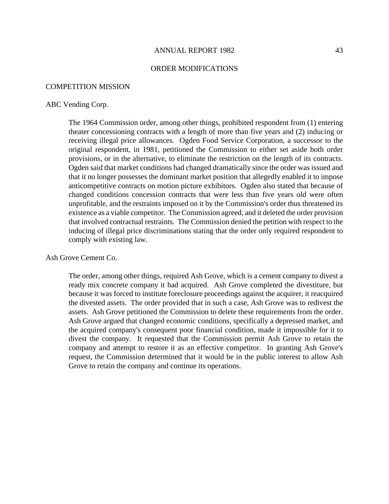#### ORDER MODIFICATIONS

#### COMPETITION MISSION

#### ABC Vending Corp.

The 1964 Commission order, among other things, prohibited respondent from (1) entering theater concessioning contracts with a length of more than five years and (2) inducing or receiving illegal price allowances. Ogden Food Service Corporation, a successor to the original respondent, in 1981, petitioned the Commission to either set aside both order provisions, or in the alternative, to eliminate the restriction on the length of its contracts. Ogden said that market conditions had changed dramatically since the order was issued and that it no longer possesses the dominant market position that allegedly enabled it to impose anticompetitive contracts on motion picture exhibitors. Ogden also stated that because of changed conditions concession contracts that were less than five years old were often unprofitable, and the restraints imposed on it by the Commission's order thus threatened its existence as a viable competitor. The Commission agreed, and it deleted the order provision that involved contractual restraints. The Commission denied the petition with respect to the inducing of illegal price discriminations stating that the order only required respondent to comply with existing law.

Ash Grove Cement Co.

The order, among other things, required Ash Grove, which is a cement company to divest a ready mix concrete company it had acquired. Ash Grove completed the divestiture, but because it was forced to institute foreclosure proceedings against the acquirer, it reacquired the divested assets. The order provided that in such a case, Ash Grove was to redivest the assets. Ash Grove petitioned the Commission to delete these requirements from the order. Ash Grove argued that changed economic conditions, specifically a depressed market, and the acquired company's consequent poor financial condition, made it impossible for it to divest the company. It requested that the Commission permit Ash Grove to retain the company and attempt to restore it as an effective competitor. In granting Ash Grove's request, the Commission determined that it would be in the public interest to allow Ash Grove to retain the company and continue its operations.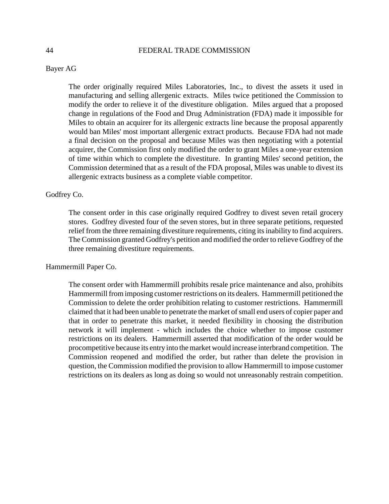### Bayer AG

The order originally required Miles Laboratories, Inc., to divest the assets it used in manufacturing and selling allergenic extracts. Miles twice petitioned the Commission to modify the order to relieve it of the divestiture obligation. Miles argued that a proposed change in regulations of the Food and Drug Administration (FDA) made it impossible for Miles to obtain an acquirer for its allergenic extracts line because the proposal apparently would ban Miles' most important allergenic extract products. Because FDA had not made a final decision on the proposal and because Miles was then negotiating with a potential acquirer, the Commission first only modified the order to grant Miles a one-year extension of time within which to complete the divestiture. In granting Miles' second petition, the Commission determined that as a result of the FDA proposal, Miles was unable to divest its allergenic extracts business as a complete viable competitor.

#### Godfrey Co.

The consent order in this case originally required Godfrey to divest seven retail grocery stores. Godfrey divested four of the seven stores, but in three separate petitions, requested relief from the three remaining divestiture requirements, citing its inability to find acquirers. The Commission granted Godfrey's petition and modified the order to relieve Godfrey of the three remaining divestiture requirements.

### Hammermill Paper Co.

The consent order with Hammermill prohibits resale price maintenance and also, prohibits Hammermill from imposing customer restrictions on its dealers. Hammermill petitioned the Commission to delete the order prohibition relating to customer restrictions. Hammermill claimed that it had been unable to penetrate the market of small end users of copier paper and that in order to penetrate this market, it needed flexibility in choosing the distribution network it will implement - which includes the choice whether to impose customer restrictions on its dealers. Hammermill asserted that modification of the order would be procompetitive because its entry into themarket would increase interbrand competition. The Commission reopened and modified the order, but rather than delete the provision in question, the Commission modified the provision to allow Hammermill to impose customer restrictions on its dealers as long as doing so would not unreasonably restrain competition.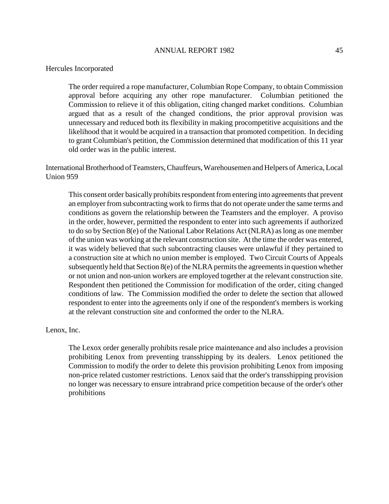#### Hercules Incorporated

The order required a rope manufacturer, Columbian Rope Company, to obtain Commission approval before acquiring any other rope manufacturer. Columbian petitioned the Commission to relieve it of this obligation, citing changed market conditions. Columbian argued that as a result of the changed conditions, the prior approval provision was unnecessary and reduced both its flexibility in making procompetitive acquisitions and the likelihood that it would be acquired in a transaction that promoted competition. In deciding to grant Columbian's petition, the Commission determined that modification of this 11 year old order was in the public interest.

International Brotherhood of Teamsters, Chauffeurs, Warehousemen and Helpers of America, Local Union 959

This consent order basically prohibits respondent from entering into agreements that prevent an employer from subcontracting work to firms that do not operate under the same terms and conditions as govern the relationship between the Teamsters and the employer. A proviso in the order, however, permitted the respondent to enter into such agreements if authorized to do so by Section 8(e) of the National Labor Relations Act (NLRA) aslong as one member of the union was working at the relevant construction site. At the time the order was entered, it was widely believed that such subcontracting clauses were unlawful if they pertained to a construction site at which no union member is employed. Two Circuit Courts of Appeals subsequently held that Section  $8(e)$  of the NLRA permits the agreements in question whether or not union and non-union workers are employed together at the relevant construction site. Respondent then petitioned the Commission for modification of the order, citing changed conditions of law. The Commission modified the order to delete the section that allowed respondent to enter into the agreements only if one of the respondent's members is working at the relevant construction site and conformed the order to the NLRA.

### Lenox, Inc.

The Lexox order generally prohibits resale price maintenance and also includes a provision prohibiting Lenox from preventing transshipping by its dealers. Lenox petitioned the Commission to modify the order to delete this provision prohibiting Lenox from imposing non-price related customer restrictions. Lenox said that the order's transshipping provision no longer was necessary to ensure intrabrand price competition because of the order's other prohibitions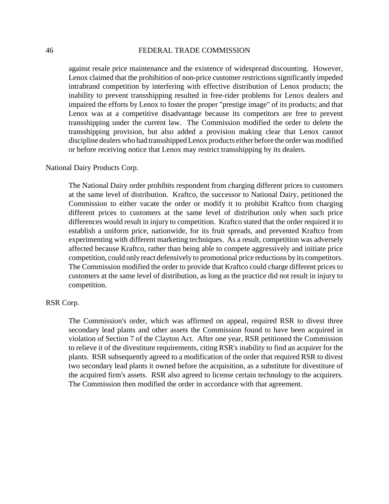against resale price maintenance and the existence of widespread discounting. However, Lenox claimed that the prohibition of non-price customer restrictions significantly impeded intrabrand competition by interfering with effective distribution of Lenox products; the inability to prevent transshipping resulted in free-rider problems for Lenox dealers and impaired the efforts by Lenox to foster the proper "prestige image" of its products; and that Lenox was at a competitive disadvantage because its competitors are free to prevent transshipping under the current law. The Commission modified the order to delete the transshipping provision, but also added a provision making clear that Lenox cannot discipline dealers who had transshipped Lenox products either before the order was modified or before receiving notice that Lenox may restrict transshipping by its dealers.

#### National Dairy Products Corp.

The National Dairy order prohibits respondent from charging different prices to customers at the same level of distribution. Kraftco, the successor to National Dairy, petitioned the Commission to either vacate the order or modify it to prohibit Kraftco from charging different prices to customers at the same level of distribution only when such price differences would result in injury to competition. Kraftco stated that the order required it to establish a uniform price, nationwide, for its fruit spreads, and prevented Kraftco from experimenting with different marketing techniques. As a result, competition was adversely affected because Kraftco, rather than being able to compete aggressively and initiate price competition, could only react defensively to promotional price reductions by its competitors. The Commission modified the order to provide that Kraftco could charge different prices to customers at the same level of distribution, as long as the practice did not result in injury to competition.

## RSR Corp.

The Commission's order, which was affirmed on appeal, required RSR to divest three secondary lead plants and other assets the Commission found to have been acquired in violation of Section 7 of the Clayton Act. After one year, RSR petitioned the Commission to relieve it of the divestiture requirements, citing RSR's inability to find an acquirer for the plants. RSR subsequently agreed to a modification of the order that required RSR to divest two secondary lead plants it owned before the acquisition, as a substitute for divestiture of the acquired firm's assets. RSR also agreed to license certain technology to the acquirers. The Commission then modified the order in accordance with that agreement.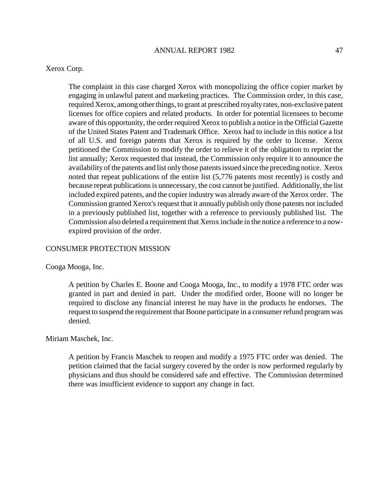### Xerox Corp.

The complaint in this case charged Xerox with monopolizing the office copier market by engaging in unlawful patent and marketing practices. The Commission order, in this case, required Xerox, among other things, to grant at prescribed royalty rates, non-exclusive patent licenses for office copiers and related products. In order for potential licensees to become aware of this opportunity, the order required Xerox to publish a notice in the Official Gazette of the United States Patent and Trademark Office. Xerox had to include in this notice a list of all U.S. and foreign patents that Xerox is required by the order to license. Xerox petitioned the Commission to modify the order to relieve it of the obligation to reprint the list annually; Xerox requested that instead, the Commission only require it to announce the availability of the patents and list only those patents issued since the preceding notice. Xerox noted that repeat publications of the entire list (5,776 patents most recently) is costly and because repeat publications is unnecessary, the cost cannot be justified. Additionally, the list included expired patents, and the copier industry was already aware of the Xerox order. The Commission granted Xerox's request that it annually publish only those patents not included in a previously published list, together with a reference to previously published list. The Commission also deleted a requirement that Xerox include in the notice a reference to a nowexpired provision of the order.

### CONSUMER PROTECTION MISSION

Cooga Mooga, Inc.

A petition by Charles E. Boone and Cooga Mooga, Inc., to modify a 1978 FTC order was granted in part and denied in part. Under the modified order, Boone will no longer be required to disclose any financial interest he may have in the products he endorses. The request to suspend the requirement that Boone participate in a consumer refund program was denied.

### Miriam Maschek, Inc.

A petition by Francis Maschek to reopen and modify a 1975 FTC order was denied. The petition claimed that the facial surgery covered by the order is now performed regularly by physicians and thus should be considered safe and effective. The Commission determined there was insufficient evidence to support any change in fact.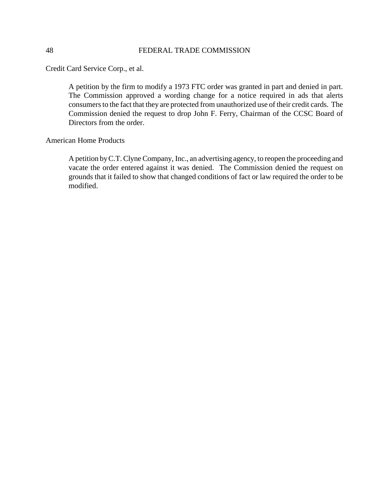Credit Card Service Corp., et al.

A petition by the firm to modify a 1973 FTC order was granted in part and denied in part. The Commission approved a wording change for a notice required in ads that alerts consumers to the fact that they are protected from unauthorized use of their credit cards. The Commission denied the request to drop John F. Ferry, Chairman of the CCSC Board of Directors from the order.

American Home Products

A petition by C.T. Clyne Company, Inc., an advertising agency, to reopen the proceeding and vacate the order entered against it was denied. The Commission denied the request on grounds that it failed to show that changed conditions of fact or law required the order to be modified.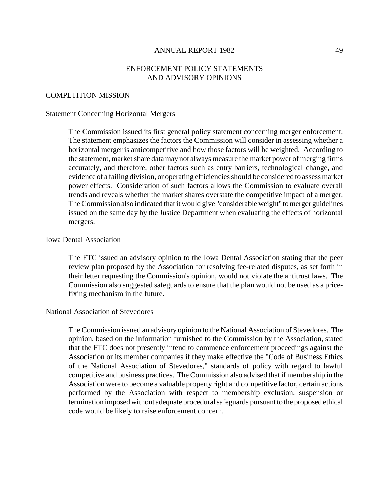# ENFORCEMENT POLICY STATEMENTS AND ADVISORY OPINIONS

#### COMPETITION MISSION

#### Statement Concerning Horizontal Mergers

The Commission issued its first general policy statement concerning merger enforcement. The statement emphasizes the factors the Commission will consider in assessing whether a horizontal merger is anticompetitive and how those factors will be weighted. According to the statement, market share data may not always measure the market power of merging firms accurately, and therefore, other factors such as entry barriers, technological change, and evidence of a failing division, or operating efficiencies should be considered to assess market power effects. Consideration of such factors allows the Commission to evaluate overall trends and reveals whether the market shares overstate the competitive impact of a merger. TheCommission also indicated that it would give "considerable weight" to merger guidelines issued on the same day by the Justice Department when evaluating the effects of horizontal mergers.

#### Iowa Dental Association

The FTC issued an advisory opinion to the Iowa Dental Association stating that the peer review plan proposed by the Association for resolving fee-related disputes, as set forth in their letter requesting the Commission's opinion, would not violate the antitrust laws. The Commission also suggested safeguards to ensure that the plan would not be used as a pricefixing mechanism in the future.

### National Association of Stevedores

The Commission issued an advisory opinion to the National Association of Stevedores. The opinion, based on the information furnished to the Commission by the Association, stated that the FTC does not presently intend to commence enforcement proceedings against the Association or its member companies if they make effective the "Code of Business Ethics of the National Association of Stevedores," standards of policy with regard to lawful competitive and business practices. The Commission also advised that if membership in the Association were to become a valuable property right and competitive factor, certain actions performed by the Association with respect to membership exclusion, suspension or termination imposed without adequate procedural safeguards pursuant to the proposed ethical code would be likely to raise enforcement concern.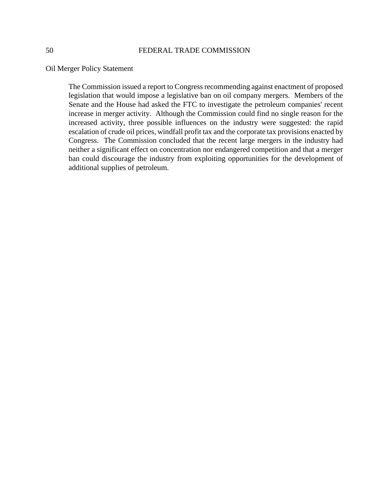Oil Merger Policy Statement

The Commission issued a report to Congress recommending against enactment of proposed legislation that would impose a legislative ban on oil company mergers. Members of the Senate and the House had asked the FTC to investigate the petroleum companies' recent increase in merger activity. Although the Commission could find no single reason for the increased activity, three possible influences on the industry were suggested: the rapid escalation of crude oil prices, windfall profit tax and the corporate tax provisions enacted by Congress. The Commission concluded that the recent large mergers in the industry had neither a significant effect on concentration nor endangered competition and that a merger ban could discourage the industry from exploiting opportunities for the development of additional supplies of petroleum.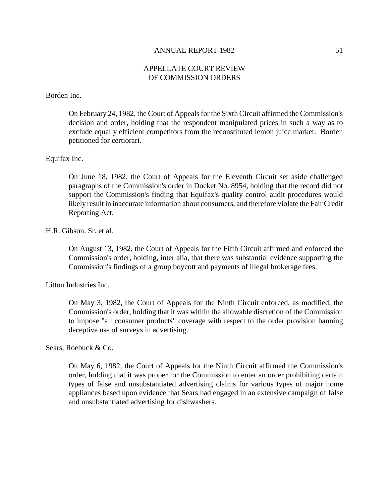# APPELLATE COURT REVIEW OF COMMISSION ORDERS

# Borden Inc.

On February 24, 1982, the Court of Appealsfor the Sixth Circuit affirmed the Commission's decision and order, holding that the respondent manipulated prices in such a way as to exclude equally efficient competitors from the reconstituted lemon juice market. Borden petitioned for certiorari.

### Equifax Inc.

On June 18, 1982, the Court of Appeals for the Eleventh Circuit set aside challenged paragraphs of the Commission's order in Docket No. 8954, holding that the record did not support the Commission's finding that Equifax's quality control audit procedures would likely result in inaccurate information about consumers, and therefore violate the Fair Credit Reporting Act.

### H.R. Gibson, Sr. et al.

On August 13, 1982, the Court of Appeals for the Fifth Circuit affirmed and enforced the Commission's order, holding, inter alia, that there was substantial evidence supporting the Commission's findings of a group boycott and payments of illegal brokerage fees.

Litton Industries Inc.

On May 3, 1982, the Court of Appeals for the Ninth Circuit enforced, as modified, the Commission's order, holding that it was within the allowable discretion of the Commission to impose "all consumer products" coverage with respect to the order provision banning deceptive use of surveys in advertising.

Sears, Roebuck & Co.

On May 6, 1982, the Court of Appeals for the Ninth Circuit affirmed the Commission's order, holding that it was proper for the Commission to enter an order prohibiting certain types of false and unsubstantiated advertising claims for various types of major home appliances based upon evidence that Sears had engaged in an extensive campaign of false and unsubstantiated advertising for dishwashers.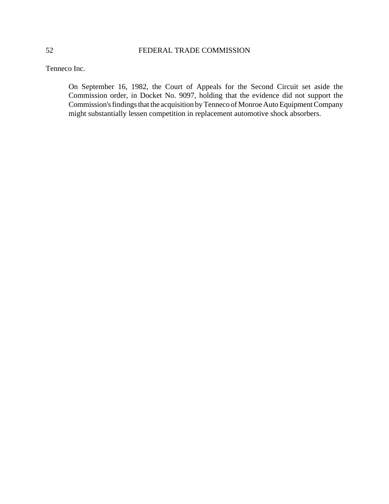Tenneco Inc.

On September 16, 1982, the Court of Appeals for the Second Circuit set aside the Commission order, in Docket No. 9097, holding that the evidence did not support the Commission's findings that the acquisition by Tenneco of Monroe Auto Equipment Company might substantially lessen competition in replacement automotive shock absorbers.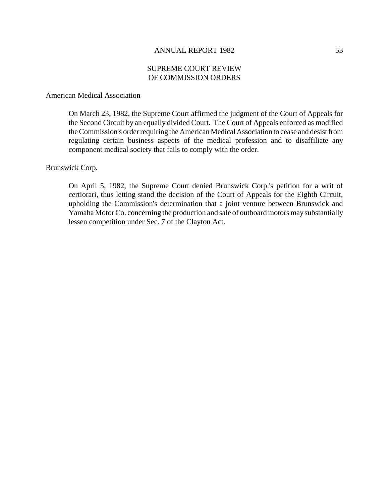# SUPREME COURT REVIEW OF COMMISSION ORDERS

### American Medical Association

On March 23, 1982, the Supreme Court affirmed the judgment of the Court of Appeals for the Second Circuit by an equally divided Court. The Court of Appeals enforced as modified the Commission's order requiring the American Medical Association to cease and desist from regulating certain business aspects of the medical profession and to disaffiliate any component medical society that fails to comply with the order.

### Brunswick Corp.

On April 5, 1982, the Supreme Court denied Brunswick Corp.'s petition for a writ of certiorari, thus letting stand the decision of the Court of Appeals for the Eighth Circuit, upholding the Commission's determination that a joint venture between Brunswick and Yamaha MotorCo. concerning the production and sale of outboard motors may substantially lessen competition under Sec. 7 of the Clayton Act.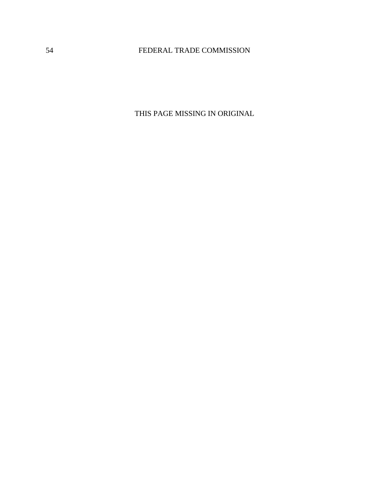THIS PAGE MISSING IN ORIGINAL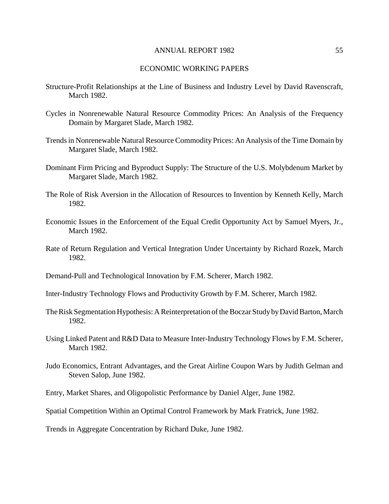#### ECONOMIC WORKING PAPERS

- Structure-Profit Relationships at the Line of Business and Industry Level by David Ravenscraft, March 1982.
- Cycles in Nonrenewable Natural Resource Commodity Prices: An Analysis of the Frequency Domain by Margaret Slade, March 1982.
- Trendsin Nonrenewable Natural Resource Commodity Prices: An Analysis of the Time Domain by Margaret Slade, March 1982.
- Dominant Firm Pricing and Byproduct Supply: The Structure of the U.S. Molybdenum Market by Margaret Slade, March 1982.
- The Role of Risk Aversion in the Allocation of Resources to Invention by Kenneth Kelly, March 1982.
- Economic Issues in the Enforcement of the Equal Credit Opportunity Act by Samuel Myers, Jr., March 1982.
- Rate of Return Regulation and Vertical Integration Under Uncertainty by Richard Rozek, March 1982.
- Demand-Pull and Technological Innovation by F.M. Scherer, March 1982.
- Inter-Industry Technology Flows and Productivity Growth by F.M. Scherer, March 1982.
- The Risk Segmentation Hypothesis: A Reinterpretation of the Boczar Study by David Barton, March 1982.
- Using Linked Patent and R&D Data to Measure Inter-Industry Technology Flows by F.M. Scherer, March 1982.
- Judo Economics, Entrant Advantages, and the Great Airline Coupon Wars by Judith Gelman and Steven Salop, June 1982.
- Entry, Market Shares, and Oligopolistic Performance by Daniel Alger, June 1982.
- Spatial Competition Within an Optimal Control Framework by Mark Fratrick, June 1982.

Trends in Aggregate Concentration by Richard Duke, June 1982.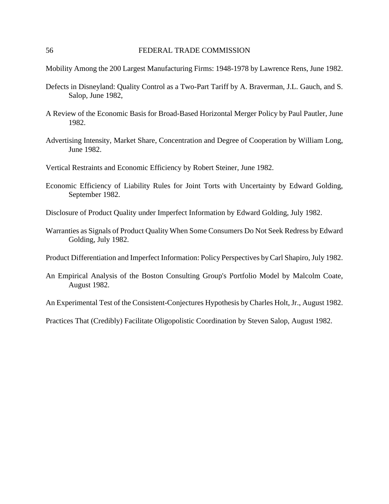Mobility Among the 200 Largest Manufacturing Firms: 1948-1978 by Lawrence Rens, June 1982.

- Defects in Disneyland: Quality Control as a Two-Part Tariff by A. Braverman, J.L. Gauch, and S. Salop, June 1982,
- A Review of the Economic Basis for Broad-Based Horizontal Merger Policy by Paul Pautler, June 1982.
- Advertising Intensity, Market Share, Concentration and Degree of Cooperation by William Long, June 1982.
- Vertical Restraints and Economic Efficiency by Robert Steiner, June 1982.
- Economic Efficiency of Liability Rules for Joint Torts with Uncertainty by Edward Golding, September 1982.
- Disclosure of Product Quality under Imperfect Information by Edward Golding, July 1982.
- Warranties as Signals of Product Quality When Some Consumers Do Not Seek Redress by Edward Golding, July 1982.
- Product Differentiation and Imperfect Information: Policy Perspectives by Carl Shapiro, July 1982.
- An Empirical Analysis of the Boston Consulting Group's Portfolio Model by Malcolm Coate, August 1982.

An Experimental Test of the Consistent-Conjectures Hypothesis by Charles Holt, Jr., August 1982.

Practices That (Credibly) Facilitate Oligopolistic Coordination by Steven Salop, August 1982.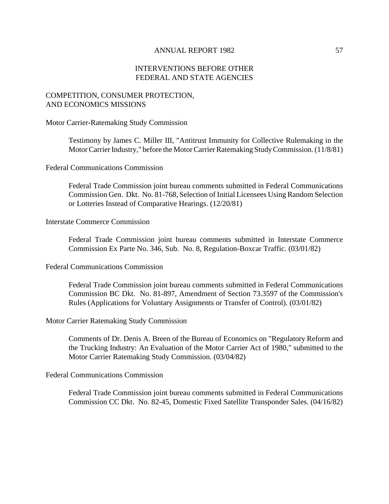# INTERVENTIONS BEFORE OTHER FEDERAL AND STATE AGENCIES

# COMPETITION, CONSUMER PROTECTION, AND ECONOMICS MISSIONS

Motor Carrier-Ratemaking Study Commission

Testimony by James C. Miller III, "Antitrust Immunity for Collective Rulemaking in the Motor Carrier Industry," before the Motor Carrier Ratemaking Study Commission. (11/8/81)

Federal Communications Commission

Federal Trade Commission joint bureau comments submitted in Federal Communications Commission Gen. Dkt. No. 81-768, Selection of Initial Licensees Using Random Selection or Lotteries Instead of Comparative Hearings. (12/20/81)

#### Interstate Commerce Commission

Federal Trade Commission joint bureau comments submitted in Interstate Commerce Commission Ex Parte No. 346, Sub. No. 8, Regulation-Boxcar Traffic. (03/01/82)

Federal Communications Commission

Federal Trade Commission joint bureau comments submitted in Federal Communications Commission BC Dkt. No. 81-897, Amendment of Section 73.3597 of the Commission's Rules (Applications for Voluntary Assignments or Transfer of Control). (03/01/82)

Motor Carrier Ratemaking Study Commission

Comments of Dr. Denis A. Breen of the Bureau of Economics on "Regulatory Reform and the Trucking Industry: An Evaluation of the Motor Carrier Act of 1980," submitted to the Motor Carrier Ratemaking Study Commission. (03/04/82)

Federal Communications Commission

Federal Trade Commission joint bureau comments submitted in Federal Communications Commission CC Dkt. No. 82-45, Domestic Fixed Satellite Transponder Sales. (04/16/82)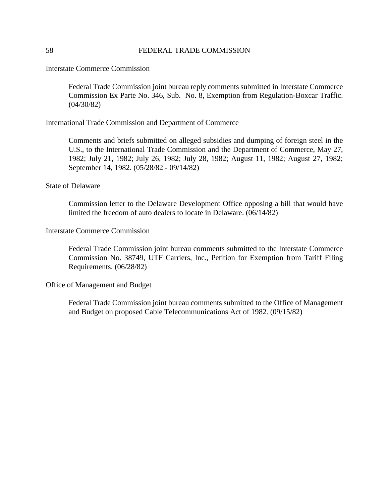Interstate Commerce Commission

Federal Trade Commission joint bureau reply comments submitted in Interstate Commerce Commission Ex Parte No. 346, Sub. No. 8, Exemption from Regulation-Boxcar Traffic. (04/30/82)

International Trade Commission and Department of Commerce

Comments and briefs submitted on alleged subsidies and dumping of foreign steel in the U.S., to the International Trade Commission and the Department of Commerce, May 27, 1982; July 21, 1982; July 26, 1982; July 28, 1982; August 11, 1982; August 27, 1982; September 14, 1982. (05/28/82 - 09/14/82)

### State of Delaware

Commission letter to the Delaware Development Office opposing a bill that would have limited the freedom of auto dealers to locate in Delaware. (06/14/82)

# Interstate Commerce Commission

Federal Trade Commission joint bureau comments submitted to the Interstate Commerce Commission No. 38749, UTF Carriers, Inc., Petition for Exemption from Tariff Filing Requirements. (06/28/82)

### Office of Management and Budget

Federal Trade Commission joint bureau comments submitted to the Office of Management and Budget on proposed Cable Telecommunications Act of 1982. (09/15/82)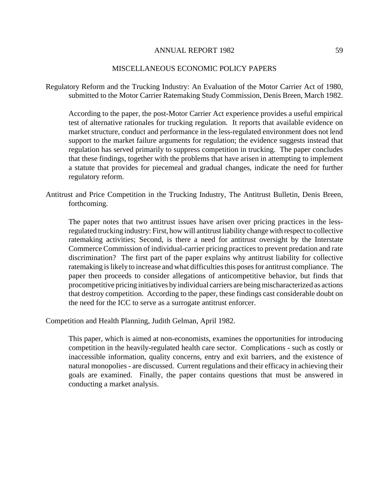### MISCELLANEOUS ECONOMIC POLICY PAPERS

Regulatory Reform and the Trucking Industry: An Evaluation of the Motor Carrier Act of 1980, submitted to the Motor Carrier Ratemaking Study Commission, Denis Breen, March 1982.

According to the paper, the post-Motor Carrier Act experience provides a useful empirical test of alternative rationales for trucking regulation. It reports that available evidence on market structure, conduct and performance in the less-regulated environment does not lend support to the market failure arguments for regulation; the evidence suggests instead that regulation has served primarily to suppress competition in trucking. The paper concludes that these findings, together with the problems that have arisen in attempting to implement a statute that provides for piecemeal and gradual changes, indicate the need for further regulatory reform.

Antitrust and Price Competition in the Trucking Industry, The Antitrust Bulletin, Denis Breen, forthcoming.

The paper notes that two antitrust issues have arisen over pricing practices in the lessregulated trucking industry: First, how will antitrust liability change with respect to collective ratemaking activities; Second, is there a need for antitrust oversight by the Interstate Commerce Commission of individual-carrier pricing practices to prevent predation and rate discrimination? The first part of the paper explains why antitrust liability for collective ratemaking is likely to increase and what difficulties this poses for antitrust compliance. The paper then proceeds to consider allegations of anticompetitive behavior, but finds that procompetitive pricing initiatives by individual carriers are being mischaracterized as actions that destroy competition. According to the paper, these findings cast considerable doubt on the need for the ICC to serve as a surrogate antitrust enforcer.

Competition and Health Planning, Judith Gelman, April 1982.

This paper, which is aimed at non-economists, examines the opportunities for introducing competition in the heavily-regulated health care sector. Complications - such as costly or inaccessible information, quality concerns, entry and exit barriers, and the existence of natural monopolies - are discussed. Current regulations and their efficacy in achieving their goals are examined. Finally, the paper contains questions that must be answered in conducting a market analysis.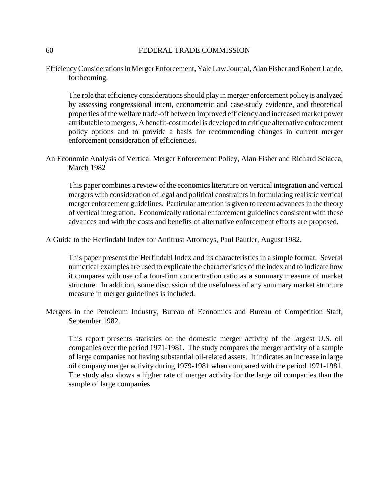Efficiency Considerations in Merger Enforcement, Yale Law Journal, Alan Fisher and Robert Lande, forthcoming.

The role that efficiency considerations should play in merger enforcement policy is analyzed by assessing congressional intent, econometric and case-study evidence, and theoretical properties of the welfare trade-off between improved efficiency and increased market power attributable to mergers, A benefit-cost model is developed to critique alternative enforcement policy options and to provide a basis for recommending changes in current merger enforcement consideration of efficiencies.

An Economic Analysis of Vertical Merger Enforcement Policy, Alan Fisher and Richard Sciacca, March 1982

This paper combines a review of the economics literature on vertical integration and vertical mergers with consideration of legal and political constraints in formulating realistic vertical merger enforcement guidelines. Particular attention is given to recent advances in the theory of vertical integration. Economically rational enforcement guidelines consistent with these advances and with the costs and benefits of alternative enforcement efforts are proposed.

A Guide to the Herfindahl Index for Antitrust Attorneys, Paul Pautler, August 1982.

This paper presents the Herfindahl Index and its characteristics in a simple format. Several numerical examples are used to explicate the characteristics of the index and to indicate how it compares with use of a four-firm concentration ratio as a summary measure of market structure. In addition, some discussion of the usefulness of any summary market structure measure in merger guidelines is included.

Mergers in the Petroleum Industry, Bureau of Economics and Bureau of Competition Staff, September 1982.

This report presents statistics on the domestic merger activity of the largest U.S. oil companies over the period 1971-1981. The study compares the merger activity of a sample of large companies not having substantial oil-related assets. It indicates an increase in large oil company merger activity during 1979-1981 when compared with the period 1971-1981. The study also shows a higher rate of merger activity for the large oil companies than the sample of large companies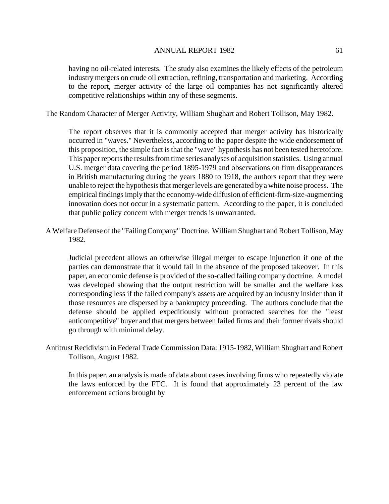having no oil-related interests. The study also examines the likely effects of the petroleum industry mergers on crude oil extraction, refining, transportation and marketing. According to the report, merger activity of the large oil companies has not significantly altered competitive relationships within any of these segments.

The Random Character of Merger Activity, William Shughart and Robert Tollison, May 1982.

The report observes that it is commonly accepted that merger activity has historically occurred in "waves." Nevertheless, according to the paper despite the wide endorsement of this proposition, the simple fact is that the "wave" hypothesis has not been tested heretofore. This paper reports the results from time series analyses of acquisition statistics. Using annual U.S. merger data covering the period 1895-1979 and observations on firm disappearances in British manufacturing during the years 1880 to 1918, the authors report that they were unable to reject the hypothesis that merger levels are generated by a white noise process. The empirical findings imply that the economy-wide diffusion of efficient-firm-size-augmenting innovation does not occur in a systematic pattern. According to the paper, it is concluded that public policy concern with merger trends is unwarranted.

AWelfare Defense ofthe "FailingCompany" Doctrine. William Shughart and Robert Tollison, May 1982.

Judicial precedent allows an otherwise illegal merger to escape injunction if one of the parties can demonstrate that it would fail in the absence of the proposed takeover. In this paper, an economic defense is provided of the so-called failing company doctrine. A model was developed showing that the output restriction will be smaller and the welfare loss corresponding less if the failed company's assets are acquired by an industry insider than if those resources are dispersed by a bankruptcy proceeding. The authors conclude that the defense should be applied expeditiously without protracted searches for the "least anticompetitive" buyer and that mergers between failed firms and their former rivals should go through with minimal delay.

Antitrust Recidivism in Federal Trade Commission Data: 1915-1982, William Shughart and Robert Tollison, August 1982.

In this paper, an analysis is made of data about cases involving firms who repeatedly violate the laws enforced by the FTC. It is found that approximately 23 percent of the law enforcement actions brought by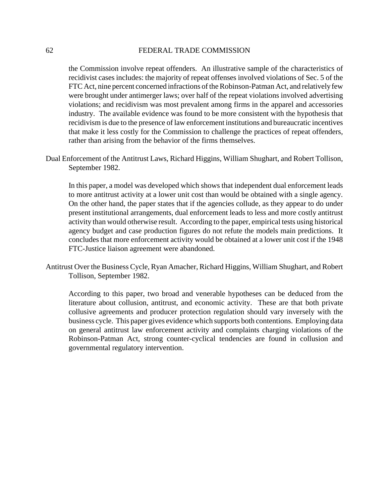the Commission involve repeat offenders. An illustrative sample of the characteristics of recidivist cases includes: the majority of repeat offenses involved violations of Sec. 5 of the FTC Act, nine percent concerned infractions of the Robinson-Patman Act, and relatively few were brought under antimerger laws; over half of the repeat violations involved advertising violations; and recidivism was most prevalent among firms in the apparel and accessories industry. The available evidence was found to be more consistent with the hypothesis that recidivism is due to the presence of law enforcement institutions and bureaucratic incentives that make it less costly for the Commission to challenge the practices of repeat offenders, rather than arising from the behavior of the firms themselves.

Dual Enforcement of the Antitrust Laws, Richard Higgins, William Shughart, and Robert Tollison, September 1982.

In this paper, a model was developed which shows that independent dual enforcement leads to more antitrust activity at a lower unit cost than would be obtained with a single agency. On the other hand, the paper states that if the agencies collude, as they appear to do under present institutional arrangements, dual enforcement leads to less and more costly antitrust activity than would otherwise result. According to the paper, empirical tests using historical agency budget and case production figures do not refute the models main predictions. It concludes that more enforcement activity would be obtained at a lower unit cost if the 1948 FTC-Justice liaison agreement were abandoned.

Antitrust Over the Business Cycle, Ryan Amacher, Richard Higgins, William Shughart, and Robert Tollison, September 1982.

According to this paper, two broad and venerable hypotheses can be deduced from the literature about collusion, antitrust, and economic activity. These are that both private collusive agreements and producer protection regulation should vary inversely with the business cycle. This paper gives evidence which supports both contentions. Employing data on general antitrust law enforcement activity and complaints charging violations of the Robinson-Patman Act, strong counter-cyclical tendencies are found in collusion and governmental regulatory intervention.